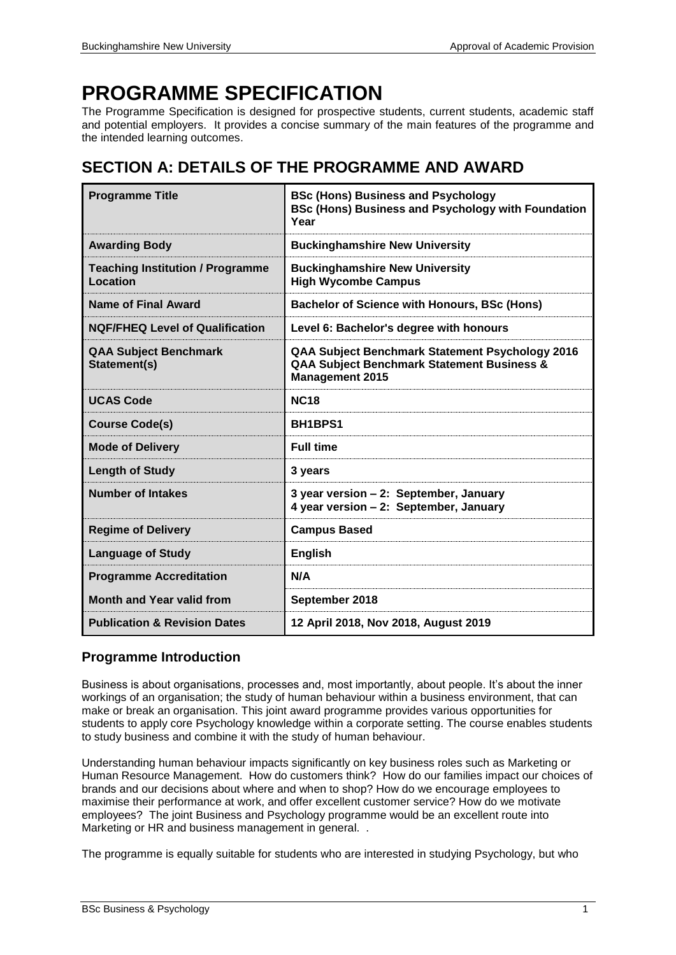# **PROGRAMME SPECIFICATION**

The Programme Specification is designed for prospective students, current students, academic staff and potential employers. It provides a concise summary of the main features of the programme and the intended learning outcomes.

## **SECTION A: DETAILS OF THE PROGRAMME AND AWARD**

| <b>Programme Title</b>                              | <b>BSc (Hons) Business and Psychology</b><br><b>BSc (Hons) Business and Psychology with Foundation</b><br>Year          |
|-----------------------------------------------------|-------------------------------------------------------------------------------------------------------------------------|
| <b>Awarding Body</b>                                | <b>Buckinghamshire New University</b>                                                                                   |
| <b>Teaching Institution / Programme</b><br>Location | <b>Buckinghamshire New University</b><br><b>High Wycombe Campus</b>                                                     |
| Name of Final Award                                 | <b>Bachelor of Science with Honours, BSc (Hons)</b>                                                                     |
| <b>NQF/FHEQ Level of Qualification</b>              | Level 6: Bachelor's degree with honours                                                                                 |
| <b>QAA Subject Benchmark</b><br>Statement(s)        | QAA Subject Benchmark Statement Psychology 2016<br>QAA Subject Benchmark Statement Business &<br><b>Management 2015</b> |
| <b>UCAS Code</b>                                    | <b>NC18</b>                                                                                                             |
| <b>Course Code(s)</b>                               | BH1BPS1                                                                                                                 |
| <b>Mode of Delivery</b>                             | <b>Full time</b>                                                                                                        |
| <b>Length of Study</b>                              | 3 years                                                                                                                 |
| <b>Number of Intakes</b>                            | 3 year version - 2: September, January<br>4 year version - 2: September, January                                        |
| <b>Regime of Delivery</b>                           | <b>Campus Based</b>                                                                                                     |
| <b>Language of Study</b>                            | <b>English</b>                                                                                                          |
| <b>Programme Accreditation</b>                      | N/A                                                                                                                     |
| <b>Month and Year valid from</b>                    | September 2018                                                                                                          |
| <b>Publication &amp; Revision Dates</b>             | 12 April 2018, Nov 2018, August 2019                                                                                    |

## **Programme Introduction**

Business is about organisations, processes and, most importantly, about people. It's about the inner workings of an organisation; the study of human behaviour within a business environment, that can make or break an organisation. This joint award programme provides various opportunities for students to apply core Psychology knowledge within a corporate setting. The course enables students to study business and combine it with the study of human behaviour.

Understanding human behaviour impacts significantly on key business roles such as Marketing or Human Resource Management. How do customers think? How do our families impact our choices of brands and our decisions about where and when to shop? How do we encourage employees to maximise their performance at work, and offer excellent customer service? How do we motivate employees? The joint Business and Psychology programme would be an excellent route into Marketing or HR and business management in general. .

The programme is equally suitable for students who are interested in studying Psychology, but who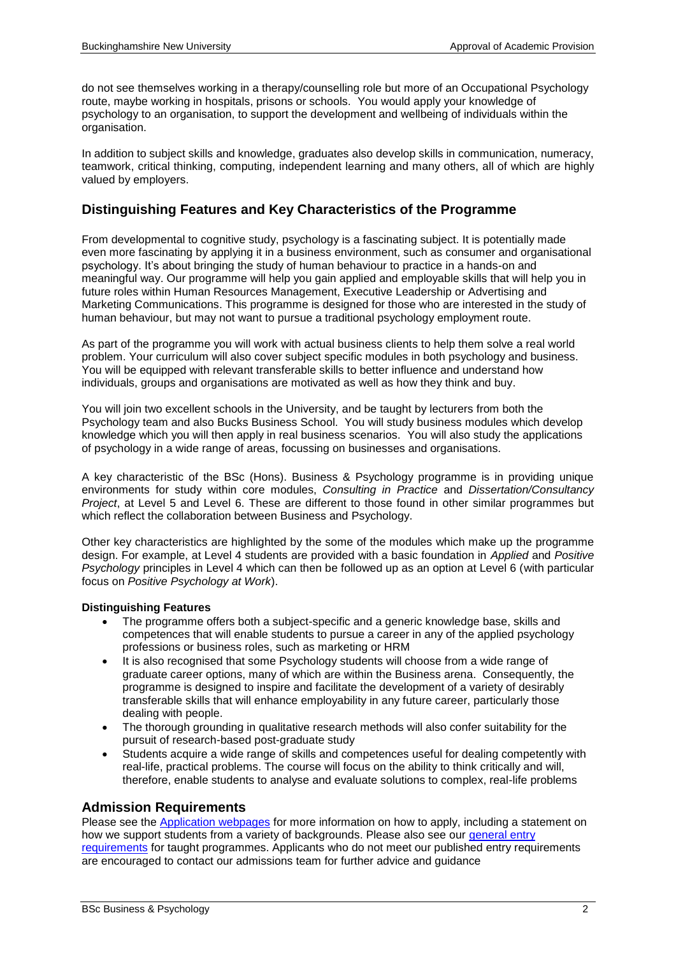do not see themselves working in a therapy/counselling role but more of an Occupational Psychology route, maybe working in hospitals, prisons or schools. You would apply your knowledge of psychology to an organisation, to support the development and wellbeing of individuals within the organisation.

In addition to subject skills and knowledge, graduates also develop skills in communication, numeracy, teamwork, critical thinking, computing, independent learning and many others, all of which are highly valued by employers.

### **Distinguishing Features and Key Characteristics of the Programme**

From developmental to cognitive study, psychology is a fascinating subject. It is potentially made even more fascinating by applying it in a business environment, such as consumer and organisational psychology. It's about bringing the study of human behaviour to practice in a hands-on and meaningful way. Our programme will help you gain applied and employable skills that will help you in future roles within Human Resources Management, Executive Leadership or Advertising and Marketing Communications. This programme is designed for those who are interested in the study of human behaviour, but may not want to pursue a traditional psychology employment route.

As part of the programme you will work with actual business clients to help them solve a real world problem. Your curriculum will also cover subject specific modules in both psychology and business. You will be equipped with relevant transferable skills to better influence and understand how individuals, groups and organisations are motivated as well as how they think and buy.

You will join two excellent schools in the University, and be taught by lecturers from both the Psychology team and also Bucks Business School. You will study business modules which develop knowledge which you will then apply in real business scenarios. You will also study the applications of psychology in a wide range of areas, focussing on businesses and organisations.

A key characteristic of the BSc (Hons). Business & Psychology programme is in providing unique environments for study within core modules, *Consulting in Practice* and *Dissertation/Consultancy Project*, at Level 5 and Level 6. These are different to those found in other similar programmes but which reflect the collaboration between Business and Psychology.

Other key characteristics are highlighted by the some of the modules which make up the programme design. For example, at Level 4 students are provided with a basic foundation in *Applied* and *Positive Psychology* principles in Level 4 which can then be followed up as an option at Level 6 (with particular focus on *Positive Psychology at Work*).

#### **Distinguishing Features**

- The programme offers both a subject-specific and a generic knowledge base, skills and competences that will enable students to pursue a career in any of the applied psychology professions or business roles, such as marketing or HRM
- It is also recognised that some Psychology students will choose from a wide range of graduate career options, many of which are within the Business arena. Consequently, the programme is designed to inspire and facilitate the development of a variety of desirably transferable skills that will enhance employability in any future career, particularly those dealing with people.
- The thorough grounding in qualitative research methods will also confer suitability for the pursuit of research-based post-graduate study
- Students acquire a wide range of skills and competences useful for dealing competently with real-life, practical problems. The course will focus on the ability to think critically and will, therefore, enable students to analyse and evaluate solutions to complex, real-life problems

#### **Admission Requirements**

Please see the [Application webpages](https://bucks.ac.uk/applying-to-bucks) for more information on how to apply, including a statement on how we support students from a variety of backgrounds. Please also see our general entry [requirements](https://bucks.ac.uk/applying-to-bucks/general-entry-requirements) for taught programmes. Applicants who do not meet our published entry requirements are encouraged to contact our admissions team for further advice and guidance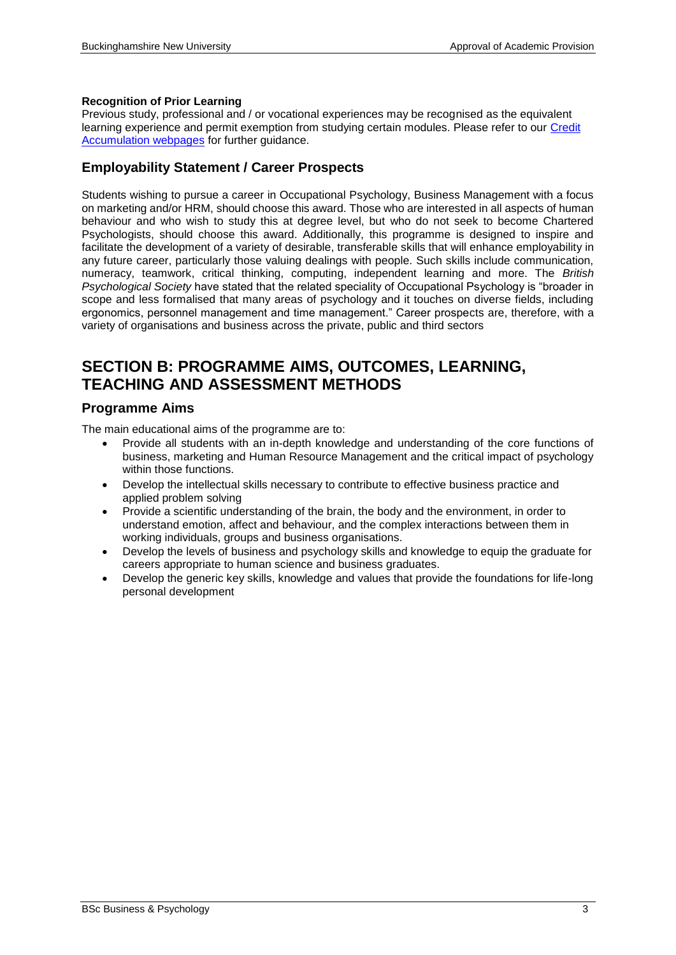#### **Recognition of Prior Learning**

Previous study, professional and / or vocational experiences may be recognised as the equivalent learning experience and permit exemption from studying certain modules. Please refer to our [Credit](https://bucks.ac.uk/students/academicadvice/managing-your-studies/credit-accumulation)  [Accumulation webpages](https://bucks.ac.uk/students/academicadvice/managing-your-studies/credit-accumulation) for further guidance.

### **Employability Statement / Career Prospects**

Students wishing to pursue a career in Occupational Psychology, Business Management with a focus on marketing and/or HRM, should choose this award. Those who are interested in all aspects of human behaviour and who wish to study this at degree level, but who do not seek to become Chartered Psychologists, should choose this award. Additionally, this programme is designed to inspire and facilitate the development of a variety of desirable, transferable skills that will enhance employability in any future career, particularly those valuing dealings with people. Such skills include communication, numeracy, teamwork, critical thinking, computing, independent learning and more. The *British Psychological Society* have stated that the related speciality of Occupational Psychology is "broader in scope and less formalised that many areas of psychology and it touches on diverse fields, including ergonomics, personnel management and time management." Career prospects are, therefore, with a variety of organisations and business across the private, public and third sectors

## **SECTION B: PROGRAMME AIMS, OUTCOMES, LEARNING, TEACHING AND ASSESSMENT METHODS**

### **Programme Aims**

The main educational aims of the programme are to:

- Provide all students with an in-depth knowledge and understanding of the core functions of business, marketing and Human Resource Management and the critical impact of psychology within those functions.
- Develop the intellectual skills necessary to contribute to effective business practice and applied problem solving
- Provide a scientific understanding of the brain, the body and the environment, in order to understand emotion, affect and behaviour, and the complex interactions between them in working individuals, groups and business organisations.
- Develop the levels of business and psychology skills and knowledge to equip the graduate for careers appropriate to human science and business graduates.
- Develop the generic key skills, knowledge and values that provide the foundations for life-long personal development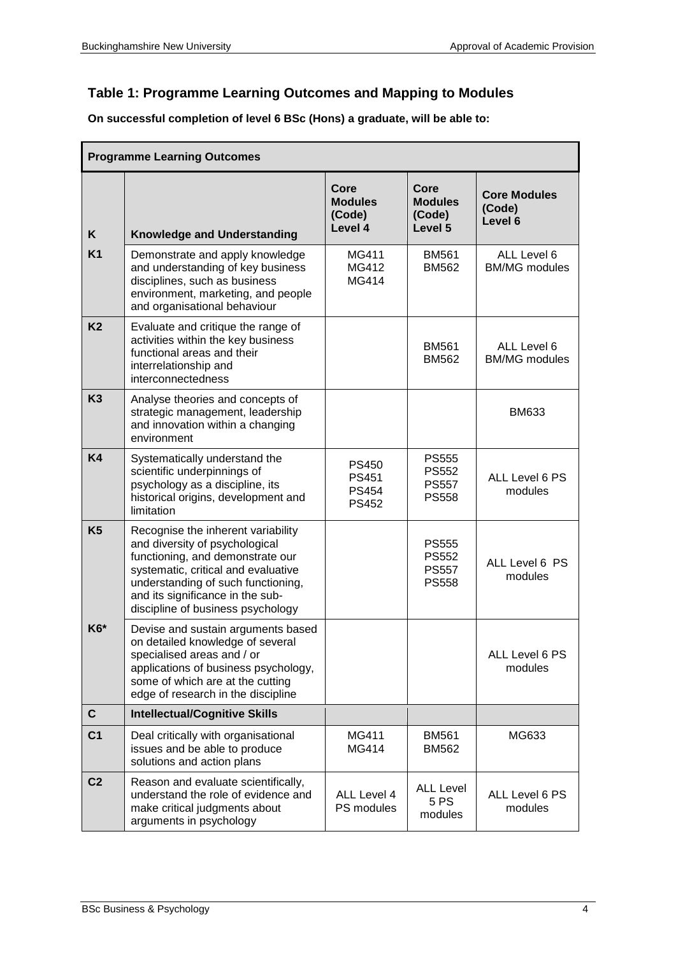## **Table 1: Programme Learning Outcomes and Mapping to Modules**

**On successful completion of level 6 BSc (Hons) a graduate, will be able to:**

|                | <b>Programme Learning Outcomes</b>                                                                                                                                                                                                                             |                                                              |                                                              |                                          |  |  |  |  |  |  |
|----------------|----------------------------------------------------------------------------------------------------------------------------------------------------------------------------------------------------------------------------------------------------------------|--------------------------------------------------------------|--------------------------------------------------------------|------------------------------------------|--|--|--|--|--|--|
| K              | <b>Knowledge and Understanding</b>                                                                                                                                                                                                                             | Core<br><b>Modules</b><br>(Code)<br>Level 4                  | Core<br><b>Modules</b><br>(Code)<br>Level 5                  | <b>Core Modules</b><br>(Code)<br>Level 6 |  |  |  |  |  |  |
| <b>K1</b>      | Demonstrate and apply knowledge<br>and understanding of key business<br>disciplines, such as business<br>environment, marketing, and people<br>and organisational behaviour                                                                                    | MG411<br>MG412<br><b>MG414</b>                               | <b>BM561</b><br><b>BM562</b>                                 | ALL Level 6<br><b>BM/MG</b> modules      |  |  |  |  |  |  |
| K <sub>2</sub> | Evaluate and critique the range of<br>activities within the key business<br>functional areas and their<br>interrelationship and<br>interconnectedness                                                                                                          |                                                              | <b>BM561</b><br><b>BM562</b>                                 | ALL Level 6<br><b>BM/MG</b> modules      |  |  |  |  |  |  |
| K <sub>3</sub> | Analyse theories and concepts of<br>strategic management, leadership<br>and innovation within a changing<br>environment                                                                                                                                        |                                                              |                                                              | <b>BM633</b>                             |  |  |  |  |  |  |
| <b>K4</b>      | Systematically understand the<br>scientific underpinnings of<br>psychology as a discipline, its<br>historical origins, development and<br>limitation                                                                                                           | <b>PS450</b><br><b>PS451</b><br><b>PS454</b><br><b>PS452</b> | <b>PS555</b><br><b>PS552</b><br><b>PS557</b><br><b>PS558</b> | ALL Level 6 PS<br>modules                |  |  |  |  |  |  |
| K <sub>5</sub> | Recognise the inherent variability<br>and diversity of psychological<br>functioning, and demonstrate our<br>systematic, critical and evaluative<br>understanding of such functioning,<br>and its significance in the sub-<br>discipline of business psychology |                                                              | <b>PS555</b><br><b>PS552</b><br><b>PS557</b><br><b>PS558</b> | ALL Level 6 PS<br>modules                |  |  |  |  |  |  |
| K6*            | Devise and sustain arguments based<br>on detailed knowledge of several<br>specialised areas and / or<br>applications of business psychology,<br>some of which are at the cutting<br>edge of research in the discipline                                         |                                                              |                                                              | ALL Level 6 PS<br>modules                |  |  |  |  |  |  |
| $\mathbf{C}$   | <b>Intellectual/Cognitive Skills</b>                                                                                                                                                                                                                           |                                                              |                                                              |                                          |  |  |  |  |  |  |
| C <sub>1</sub> | Deal critically with organisational<br>issues and be able to produce<br>solutions and action plans                                                                                                                                                             | MG411<br>MG414                                               | <b>BM561</b><br><b>BM562</b>                                 | MG633                                    |  |  |  |  |  |  |
| C <sub>2</sub> | Reason and evaluate scientifically,<br>understand the role of evidence and<br>make critical judgments about<br>arguments in psychology                                                                                                                         | ALL Level 4<br>PS modules                                    | <b>ALL Level</b><br>5 PS<br>modules                          | ALL Level 6 PS<br>modules                |  |  |  |  |  |  |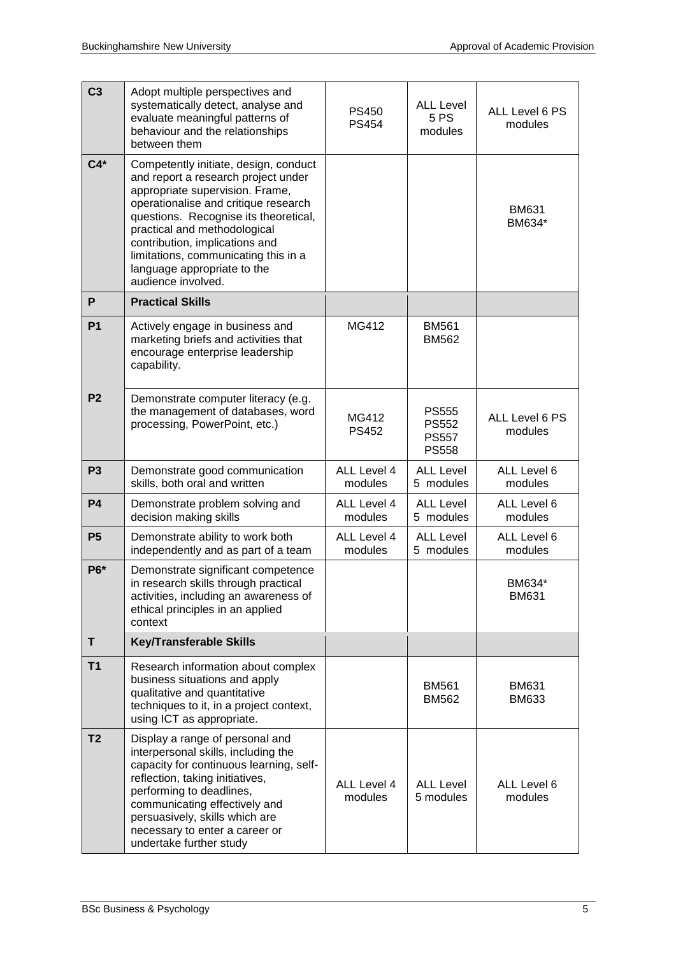| C <sub>3</sub> | Adopt multiple perspectives and<br>systematically detect, analyse and<br>evaluate meaningful patterns of<br>behaviour and the relationships<br>between them                                                                                                                                                                                                     | <b>PS450</b><br><b>PS454</b> | <b>ALL Level</b><br>5 PS<br>modules                          | ALL Level 6 PS<br>modules    |
|----------------|-----------------------------------------------------------------------------------------------------------------------------------------------------------------------------------------------------------------------------------------------------------------------------------------------------------------------------------------------------------------|------------------------------|--------------------------------------------------------------|------------------------------|
| $C4*$          | Competently initiate, design, conduct<br>and report a research project under<br>appropriate supervision. Frame,<br>operationalise and critique research<br>questions. Recognise its theoretical,<br>practical and methodological<br>contribution, implications and<br>limitations, communicating this in a<br>language appropriate to the<br>audience involved. |                              |                                                              | <b>BM631</b><br>BM634*       |
| P              | <b>Practical Skills</b>                                                                                                                                                                                                                                                                                                                                         |                              |                                                              |                              |
| <b>P1</b>      | Actively engage in business and<br>marketing briefs and activities that<br>encourage enterprise leadership<br>capability.                                                                                                                                                                                                                                       | MG412                        | <b>BM561</b><br><b>BM562</b>                                 |                              |
| P <sub>2</sub> | Demonstrate computer literacy (e.g.<br>the management of databases, word<br>processing, PowerPoint, etc.)                                                                                                                                                                                                                                                       | MG412<br><b>PS452</b>        | <b>PS555</b><br><b>PS552</b><br><b>PS557</b><br><b>PS558</b> | ALL Level 6 PS<br>modules    |
| P <sub>3</sub> | Demonstrate good communication<br>skills, both oral and written                                                                                                                                                                                                                                                                                                 | ALL Level 4<br>modules       | <b>ALL Level</b><br>5 modules                                | ALL Level 6<br>modules       |
| <b>P4</b>      | Demonstrate problem solving and<br>decision making skills                                                                                                                                                                                                                                                                                                       | ALL Level 4<br>modules       | <b>ALL Level</b><br>5 modules                                | ALL Level 6<br>modules       |
| P <sub>5</sub> | Demonstrate ability to work both<br>independently and as part of a team                                                                                                                                                                                                                                                                                         | ALL Level 4<br>modules       | <b>ALL Level</b><br>5 modules                                | ALL Level 6<br>modules       |
| P6*            | Demonstrate significant competence<br>in research skills through practical<br>activities, including an awareness of<br>ethical principles in an applied<br>context                                                                                                                                                                                              |                              |                                                              | BM634*<br><b>BM631</b>       |
| T              | <b>Key/Transferable Skills</b>                                                                                                                                                                                                                                                                                                                                  |                              |                                                              |                              |
| T1             | Research information about complex<br>business situations and apply<br>qualitative and quantitative<br>techniques to it, in a project context,<br>using ICT as appropriate.                                                                                                                                                                                     |                              | <b>BM561</b><br><b>BM562</b>                                 | <b>BM631</b><br><b>BM633</b> |
| T <sub>2</sub> | Display a range of personal and<br>interpersonal skills, including the<br>capacity for continuous learning, self-<br>reflection, taking initiatives,<br>performing to deadlines,<br>communicating effectively and<br>persuasively, skills which are<br>necessary to enter a career or<br>undertake further study                                                | ALL Level 4<br>modules       | <b>ALL Level</b><br>5 modules                                | ALL Level 6<br>modules       |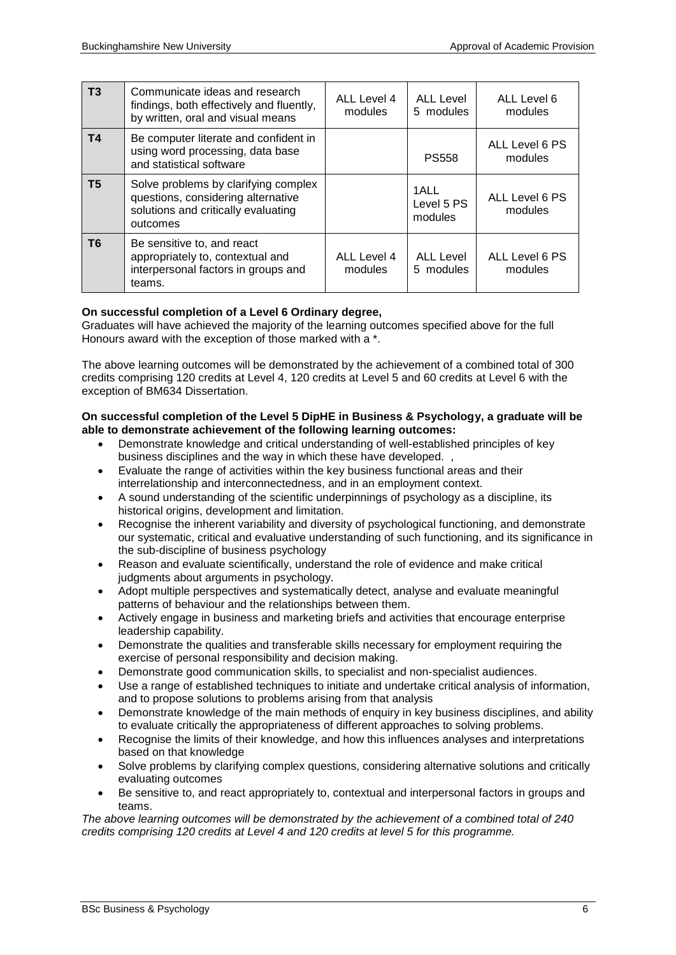| T3             | Communicate ideas and research<br>findings, both effectively and fluently,<br>by written, oral and visual means               | ALL Level 4<br>modules | ALL Level<br>5 modules        | ALL Level 6<br>modules    |
|----------------|-------------------------------------------------------------------------------------------------------------------------------|------------------------|-------------------------------|---------------------------|
| T <sub>4</sub> | Be computer literate and confident in<br>using word processing, data base<br>and statistical software                         |                        | <b>PS558</b>                  | ALL Level 6 PS<br>modules |
| T5             | Solve problems by clarifying complex<br>questions, considering alternative<br>solutions and critically evaluating<br>outcomes |                        | 1ALL<br>Level 5 PS<br>modules | ALL Level 6 PS<br>modules |
| T6             | Be sensitive to, and react<br>appropriately to, contextual and<br>interpersonal factors in groups and<br>teams.               | ALL Level 4<br>modules | <b>ALL Level</b><br>5 modules | ALL Level 6 PS<br>modules |

#### **On successful completion of a Level 6 Ordinary degree,**

Graduates will have achieved the majority of the learning outcomes specified above for the full Honours award with the exception of those marked with a \*.

The above learning outcomes will be demonstrated by the achievement of a combined total of 300 credits comprising 120 credits at Level 4, 120 credits at Level 5 and 60 credits at Level 6 with the exception of BM634 Dissertation.

#### **On successful completion of the Level 5 DipHE in Business & Psychology, a graduate will be able to demonstrate achievement of the following learning outcomes:**

- Demonstrate knowledge and critical understanding of well-established principles of key business disciplines and the way in which these have developed. ,
- Evaluate the range of activities within the key business functional areas and their interrelationship and interconnectedness, and in an employment context.
- A sound understanding of the scientific underpinnings of psychology as a discipline, its historical origins, development and limitation.
- Recognise the inherent variability and diversity of psychological functioning, and demonstrate our systematic, critical and evaluative understanding of such functioning, and its significance in the sub-discipline of business psychology
- Reason and evaluate scientifically, understand the role of evidence and make critical judgments about arguments in psychology.
- Adopt multiple perspectives and systematically detect, analyse and evaluate meaningful patterns of behaviour and the relationships between them.
- Actively engage in business and marketing briefs and activities that encourage enterprise leadership capability.
- Demonstrate the qualities and transferable skills necessary for employment requiring the exercise of personal responsibility and decision making.
- Demonstrate good communication skills, to specialist and non-specialist audiences.
- Use a range of established techniques to initiate and undertake critical analysis of information, and to propose solutions to problems arising from that analysis
- Demonstrate knowledge of the main methods of enquiry in key business disciplines, and ability to evaluate critically the appropriateness of different approaches to solving problems.
- Recognise the limits of their knowledge, and how this influences analyses and interpretations based on that knowledge
- Solve problems by clarifying complex questions, considering alternative solutions and critically evaluating outcomes
- Be sensitive to, and react appropriately to, contextual and interpersonal factors in groups and teams.

*The above learning outcomes will be demonstrated by the achievement of a combined total of 240 credits comprising 120 credits at Level 4 and 120 credits at level 5 for this programme.*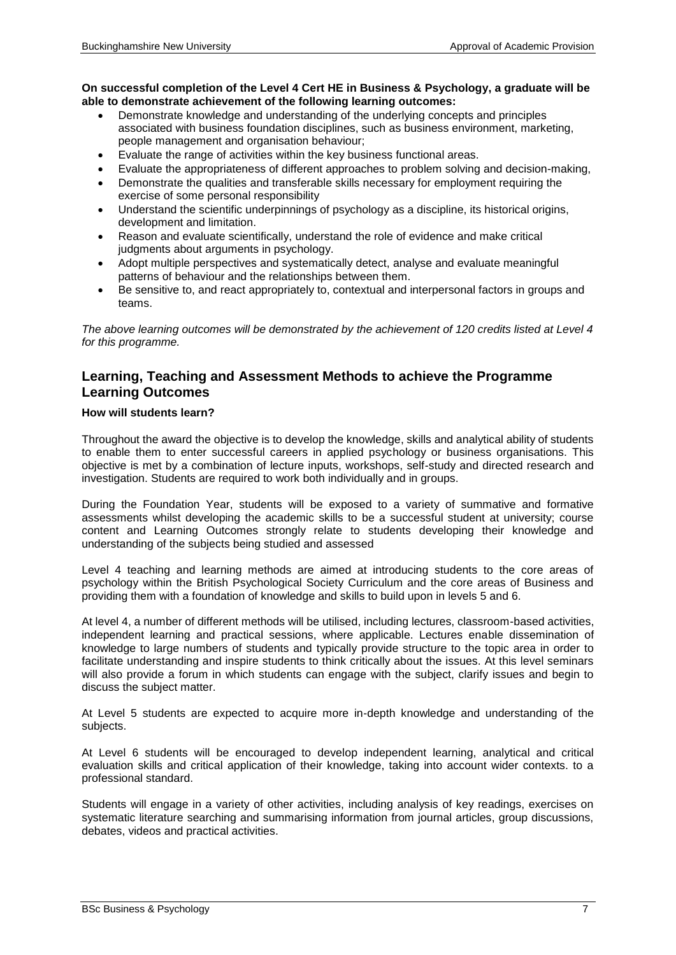#### **On successful completion of the Level 4 Cert HE in Business & Psychology, a graduate will be able to demonstrate achievement of the following learning outcomes:**

- Demonstrate knowledge and understanding of the underlying concepts and principles associated with business foundation disciplines, such as business environment, marketing, people management and organisation behaviour;
- Evaluate the range of activities within the key business functional areas.
- Evaluate the appropriateness of different approaches to problem solving and decision-making,
- Demonstrate the qualities and transferable skills necessary for employment requiring the exercise of some personal responsibility
- Understand the scientific underpinnings of psychology as a discipline, its historical origins, development and limitation.
- Reason and evaluate scientifically, understand the role of evidence and make critical judgments about arguments in psychology.
- Adopt multiple perspectives and systematically detect, analyse and evaluate meaningful patterns of behaviour and the relationships between them.
- Be sensitive to, and react appropriately to, contextual and interpersonal factors in groups and teams.

*The above learning outcomes will be demonstrated by the achievement of 120 credits listed at Level 4 for this programme.*

### **Learning, Teaching and Assessment Methods to achieve the Programme Learning Outcomes**

#### **How will students learn?**

Throughout the award the objective is to develop the knowledge, skills and analytical ability of students to enable them to enter successful careers in applied psychology or business organisations. This objective is met by a combination of lecture inputs, workshops, self-study and directed research and investigation. Students are required to work both individually and in groups.

During the Foundation Year, students will be exposed to a variety of summative and formative assessments whilst developing the academic skills to be a successful student at university; course content and Learning Outcomes strongly relate to students developing their knowledge and understanding of the subjects being studied and assessed

Level 4 teaching and learning methods are aimed at introducing students to the core areas of psychology within the British Psychological Society Curriculum and the core areas of Business and providing them with a foundation of knowledge and skills to build upon in levels 5 and 6.

At level 4, a number of different methods will be utilised, including lectures, classroom-based activities, independent learning and practical sessions, where applicable. Lectures enable dissemination of knowledge to large numbers of students and typically provide structure to the topic area in order to facilitate understanding and inspire students to think critically about the issues. At this level seminars will also provide a forum in which students can engage with the subject, clarify issues and begin to discuss the subject matter.

At Level 5 students are expected to acquire more in-depth knowledge and understanding of the subjects.

At Level 6 students will be encouraged to develop independent learning, analytical and critical evaluation skills and critical application of their knowledge, taking into account wider contexts. to a professional standard.

Students will engage in a variety of other activities, including analysis of key readings, exercises on systematic literature searching and summarising information from journal articles, group discussions, debates, videos and practical activities.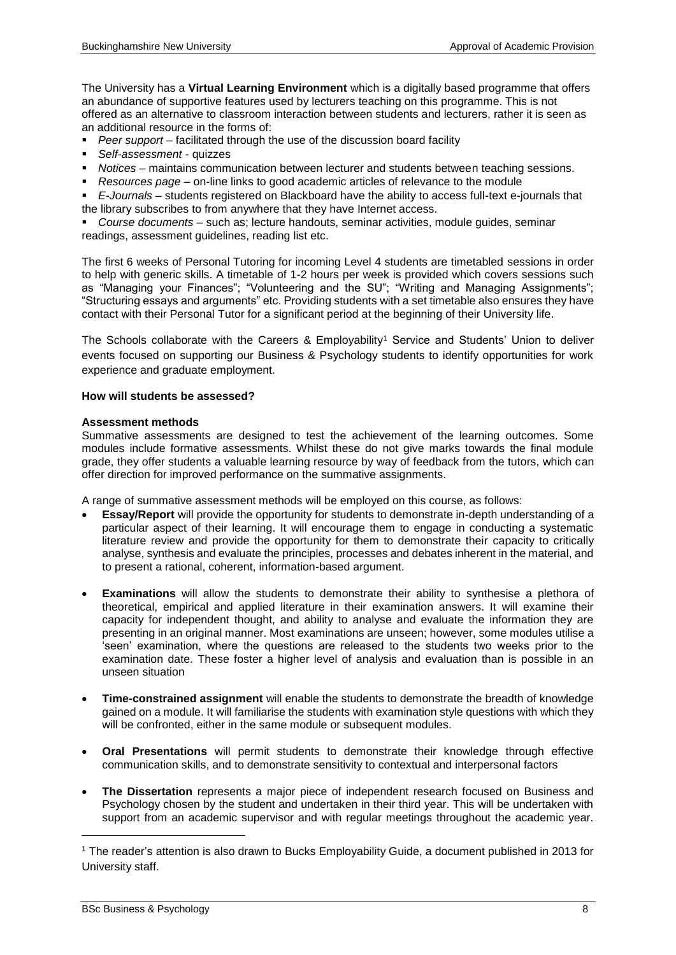The University has a **Virtual Learning Environment** which is a digitally based programme that offers an abundance of supportive features used by lecturers teaching on this programme. This is not offered as an alternative to classroom interaction between students and lecturers, rather it is seen as an additional resource in the forms of:

- **Peer support** facilitated through the use of the discussion board facility
- *Self-assessment*  quizzes
- *Notices*  maintains communication between lecturer and students between teaching sessions.
- *Resources page*  on-line links to good academic articles of relevance to the module
- *E-Journals*  students registered on Blackboard have the ability to access full-text e-journals that the library subscribes to from anywhere that they have Internet access.

*Course documents* – such as; lecture handouts, seminar activities, module guides, seminar readings, assessment guidelines, reading list etc.

The first 6 weeks of Personal Tutoring for incoming Level 4 students are timetabled sessions in order to help with generic skills. A timetable of 1-2 hours per week is provided which covers sessions such as "Managing your Finances"; "Volunteering and the SU"; "Writing and Managing Assignments"; "Structuring essays and arguments" etc. Providing students with a set timetable also ensures they have contact with their Personal Tutor for a significant period at the beginning of their University life.

The Schools collaborate with the Careers & Employability<sup>1</sup> Service and Students' Union to deliver events focused on supporting our Business & Psychology students to identify opportunities for work experience and graduate employment.

#### **How will students be assessed?**

#### **Assessment methods**

Summative assessments are designed to test the achievement of the learning outcomes. Some modules include formative assessments. Whilst these do not give marks towards the final module grade, they offer students a valuable learning resource by way of feedback from the tutors, which can offer direction for improved performance on the summative assignments.

A range of summative assessment methods will be employed on this course, as follows:

- **Essay/Report** will provide the opportunity for students to demonstrate in-depth understanding of a particular aspect of their learning. It will encourage them to engage in conducting a systematic literature review and provide the opportunity for them to demonstrate their capacity to critically analyse, synthesis and evaluate the principles, processes and debates inherent in the material, and to present a rational, coherent, information-based argument.
- **Examinations** will allow the students to demonstrate their ability to synthesise a plethora of theoretical, empirical and applied literature in their examination answers. It will examine their capacity for independent thought, and ability to analyse and evaluate the information they are presenting in an original manner. Most examinations are unseen; however, some modules utilise a 'seen' examination, where the questions are released to the students two weeks prior to the examination date. These foster a higher level of analysis and evaluation than is possible in an unseen situation
- **Time-constrained assignment** will enable the students to demonstrate the breadth of knowledge gained on a module. It will familiarise the students with examination style questions with which they will be confronted, either in the same module or subsequent modules.
- **Oral Presentations** will permit students to demonstrate their knowledge through effective communication skills, and to demonstrate sensitivity to contextual and interpersonal factors
- **The Dissertation** represents a major piece of independent research focused on Business and Psychology chosen by the student and undertaken in their third year. This will be undertaken with support from an academic supervisor and with regular meetings throughout the academic year.

1

<sup>1</sup> The reader's attention is also drawn to Bucks Employability Guide, a document published in 2013 for University staff.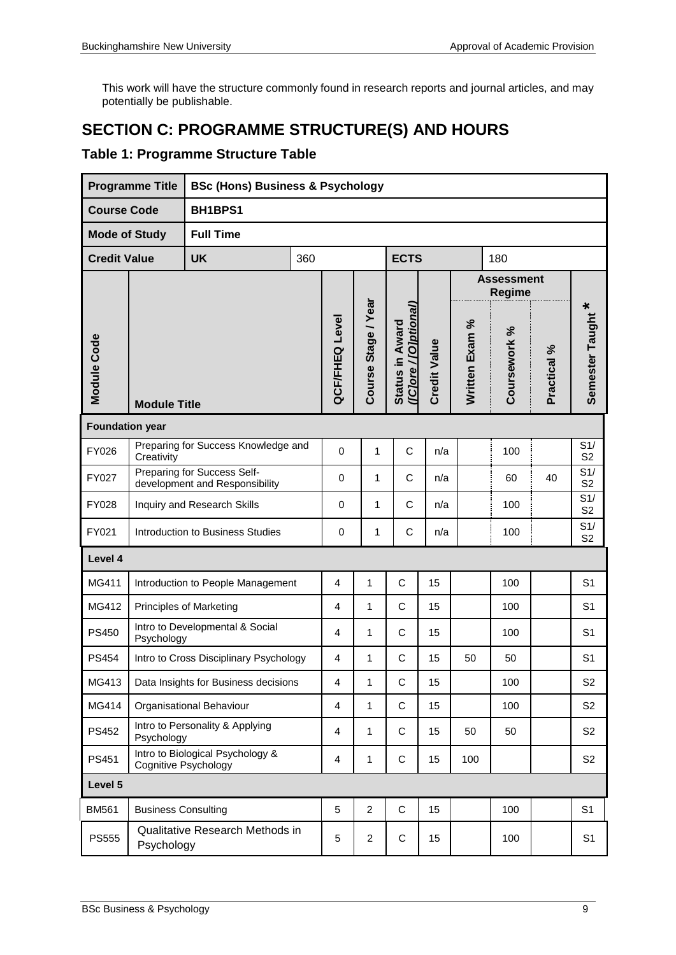This work will have the structure commonly found in research reports and journal articles, and may potentially be publishable.

## **SECTION C: PROGRAMME STRUCTURE(S) AND HOURS**

## **Table 1: Programme Structure Table**

|                        | <b>Programme Title</b>                            | <b>BSc (Hons) Business &amp; Psychology</b>                   |  |                |                     |                                          |                     |                |                             |             |                       |
|------------------------|---------------------------------------------------|---------------------------------------------------------------|--|----------------|---------------------|------------------------------------------|---------------------|----------------|-----------------------------|-------------|-----------------------|
| <b>Course Code</b>     |                                                   | BH1BPS1                                                       |  |                |                     |                                          |                     |                |                             |             |                       |
| <b>Mode of Study</b>   |                                                   | <b>Full Time</b>                                              |  |                |                     |                                          |                     |                |                             |             |                       |
| <b>Credit Value</b>    |                                                   | <b>ECTS</b><br><b>UK</b><br>360<br>180                        |  |                |                     |                                          |                     |                |                             |             |                       |
|                        |                                                   |                                                               |  |                |                     |                                          |                     |                | <b>Assessment</b><br>Regime |             |                       |
| Module Code            | <b>Module Title</b>                               |                                                               |  |                | Course Stage / Year | ([C]ore / [O]ptional]<br>Status in Award | <b>Credit Value</b> | Written Exam % | Coursework %                | Practical % | Semester Taught *     |
| <b>Foundation year</b> |                                                   |                                                               |  |                |                     |                                          |                     |                |                             |             |                       |
| FY026                  | Preparing for Success Knowledge and<br>Creativity |                                                               |  | $\pmb{0}$      | 1                   | $\mathsf C$                              | n/a                 |                | 100                         |             | S1/<br>S <sub>2</sub> |
| FY027                  |                                                   | Preparing for Success Self-<br>development and Responsibility |  |                | 1                   | $\mathsf C$                              | n/a                 |                | 60                          | 40          | S1/<br>S <sub>2</sub> |
| FY028                  |                                                   | Inquiry and Research Skills                                   |  |                | 1                   | $\mathsf C$                              | n/a                 |                | 100                         |             | S1/<br>S <sub>2</sub> |
| FY021                  | Introduction to Business Studies                  |                                                               |  | 0              | 1                   | C                                        | n/a                 |                | 100                         |             | S1/<br>S <sub>2</sub> |
| Level 4                |                                                   |                                                               |  |                |                     |                                          |                     |                |                             |             |                       |
| MG411                  |                                                   | Introduction to People Management                             |  | 4              | $\mathbf{1}$        | C                                        | 15                  |                | 100                         |             | S <sub>1</sub>        |
| MG412                  |                                                   | <b>Principles of Marketing</b>                                |  | 4              | $\mathbf{1}$        | C                                        | 15                  |                | 100                         |             | S <sub>1</sub>        |
| <b>PS450</b>           | Psychology                                        | Intro to Developmental & Social                               |  | $\overline{4}$ | 1                   | C                                        | 15                  |                | 100                         |             | S <sub>1</sub>        |
| <b>PS454</b>           |                                                   | Intro to Cross Disciplinary Psychology                        |  | 4              | 1                   | C                                        | 15                  | 50             | 50                          |             | S <sub>1</sub>        |
| MG413                  |                                                   | Data Insights for Business decisions                          |  | 4              | 1                   | C                                        | 15                  |                | 100                         |             | S <sub>2</sub>        |
| MG414                  |                                                   | Organisational Behaviour                                      |  | 4              | 1                   | C                                        | 15                  |                | 100                         |             | S <sub>2</sub>        |
| PS452                  | Psychology                                        | Intro to Personality & Applying                               |  | 4              | 1                   | C                                        | 15                  | 50             | 50                          |             | S <sub>2</sub>        |
| PS451                  | Cognitive Psychology                              | Intro to Biological Psychology &                              |  | $\overline{4}$ | $\mathbf{1}$        | C                                        | 15                  | 100            |                             |             | S <sub>2</sub>        |
| Level 5                |                                                   |                                                               |  |                |                     |                                          |                     |                |                             |             |                       |
| <b>BM561</b>           | <b>Business Consulting</b>                        |                                                               |  | 5              | $\overline{2}$      | C                                        | 15                  |                | 100                         |             | S <sub>1</sub>        |
| <b>PS555</b>           | Psychology                                        | Qualitative Research Methods in                               |  | 5              | $\overline{a}$      | $\mathsf C$                              | 15                  |                | 100                         |             | S <sub>1</sub>        |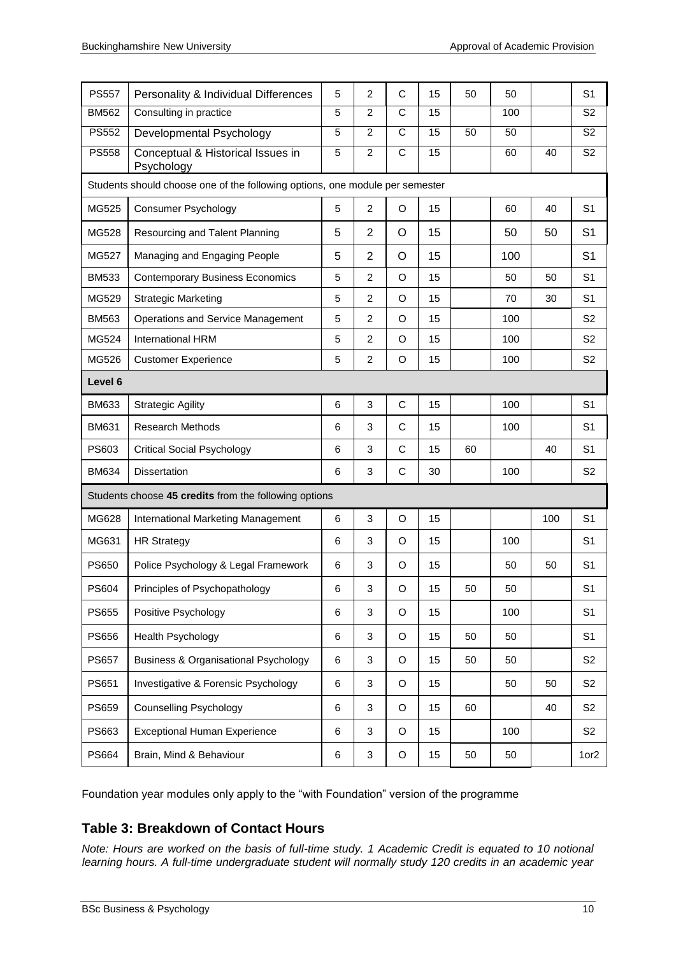| <b>PS557</b>                                                                 | Personality & Individual Differences                  | 5              | $\overline{c}$ | C                     | 15 | 50 | 50  |     | S <sub>1</sub>         |
|------------------------------------------------------------------------------|-------------------------------------------------------|----------------|----------------|-----------------------|----|----|-----|-----|------------------------|
| <b>BM562</b>                                                                 | Consulting in practice                                | 5              | $\overline{2}$ | $\overline{\text{c}}$ | 15 |    | 100 |     | S <sub>2</sub>         |
| <b>PS552</b>                                                                 | Developmental Psychology                              | 5              | $\overline{2}$ | $\overline{C}$        | 15 | 50 | 50  |     | $\overline{\text{S2}}$ |
| <b>PS558</b>                                                                 | Conceptual & Historical Issues in<br>Psychology       | $\overline{5}$ | $\overline{2}$ | $\overline{C}$        | 15 |    | 60  | 40  | $\overline{\text{S2}}$ |
| Students should choose one of the following options, one module per semester |                                                       |                |                |                       |    |    |     |     |                        |
| MG525                                                                        | <b>Consumer Psychology</b>                            | 5              | $\overline{c}$ | O                     | 15 |    | 60  | 40  | S <sub>1</sub>         |
| MG528                                                                        | Resourcing and Talent Planning                        | 5              | $\overline{2}$ | O                     | 15 |    | 50  | 50  | S <sub>1</sub>         |
| MG527                                                                        | Managing and Engaging People                          | 5              | $\overline{2}$ | O                     | 15 |    | 100 |     | S <sub>1</sub>         |
| <b>BM533</b>                                                                 | <b>Contemporary Business Economics</b>                | 5              | $\overline{2}$ | O                     | 15 |    | 50  | 50  | S <sub>1</sub>         |
| MG529                                                                        | <b>Strategic Marketing</b>                            | 5              | 2              | O                     | 15 |    | 70  | 30  | S <sub>1</sub>         |
| <b>BM563</b>                                                                 | Operations and Service Management                     | 5              | 2              | O                     | 15 |    | 100 |     | S <sub>2</sub>         |
| MG524                                                                        | International HRM                                     | 5              | $\overline{2}$ | O                     | 15 |    | 100 |     | S <sub>2</sub>         |
| MG526                                                                        | <b>Customer Experience</b>                            | 5              | $\overline{c}$ | O                     | 15 |    | 100 |     | S <sub>2</sub>         |
| Level 6                                                                      |                                                       |                |                |                       |    |    |     |     |                        |
| <b>BM633</b>                                                                 | <b>Strategic Agility</b>                              | 6              | 3              | $\mathsf C$           | 15 |    | 100 |     | S <sub>1</sub>         |
| <b>BM631</b>                                                                 | <b>Research Methods</b>                               | 6              | 3              | $\mathsf C$           | 15 |    | 100 |     | S <sub>1</sub>         |
| PS603                                                                        | <b>Critical Social Psychology</b>                     | 6              | 3              | C                     | 15 | 60 |     | 40  | S <sub>1</sub>         |
| <b>BM634</b>                                                                 | Dissertation                                          | 6              | 3              | $\mathsf C$           | 30 |    | 100 |     | S <sub>2</sub>         |
|                                                                              | Students choose 45 credits from the following options |                |                |                       |    |    |     |     |                        |
| MG628                                                                        | International Marketing Management                    | 6              | 3              | $\circ$               | 15 |    |     | 100 | S <sub>1</sub>         |
| MG631                                                                        | <b>HR Strategy</b>                                    | 6              | 3              | O                     | 15 |    | 100 |     | S <sub>1</sub>         |
| <b>PS650</b>                                                                 | Police Psychology & Legal Framework                   | 6              | 3              | O                     | 15 |    | 50  | 50  | S <sub>1</sub>         |
| PS604                                                                        | Principles of Psychopathology                         | 6              | 3              | O                     | 15 | 50 | 50  |     | S <sub>1</sub>         |
| <b>PS655</b>                                                                 | Positive Psychology                                   | 6              | 3              | O                     | 15 |    | 100 |     | S <sub>1</sub>         |
| PS656                                                                        | Health Psychology                                     | 6              | 3              | O                     | 15 | 50 | 50  |     | S <sub>1</sub>         |
| <b>PS657</b>                                                                 | <b>Business &amp; Organisational Psychology</b>       | 6              | 3              | O                     | 15 | 50 | 50  |     | S <sub>2</sub>         |
| PS651                                                                        | Investigative & Forensic Psychology                   | 6              | 3              | $\circ$               | 15 |    | 50  | 50  | S <sub>2</sub>         |
| PS659                                                                        | <b>Counselling Psychology</b>                         | 6              | 3              | O                     | 15 | 60 |     | 40  | S <sub>2</sub>         |
| PS663                                                                        | <b>Exceptional Human Experience</b>                   | 6              | 3              | O                     | 15 |    | 100 |     | S <sub>2</sub>         |
| PS664                                                                        | Brain, Mind & Behaviour                               | 6              | 3              | O                     | 15 | 50 | 50  |     | 1or2                   |

Foundation year modules only apply to the "with Foundation" version of the programme

## **Table 3: Breakdown of Contact Hours**

*Note: Hours are worked on the basis of full-time study. 1 Academic Credit is equated to 10 notional learning hours. A full-time undergraduate student will normally study 120 credits in an academic year*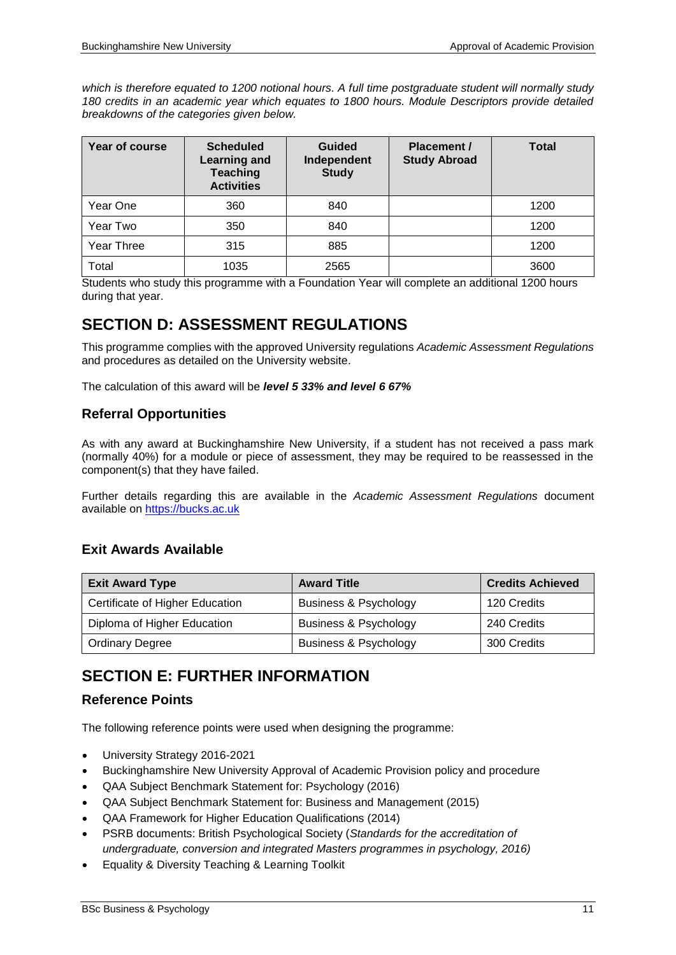*which is therefore equated to 1200 notional hours. A full time postgraduate student will normally study 180 credits in an academic year which equates to 1800 hours. Module Descriptors provide detailed breakdowns of the categories given below.*

| Year of course | <b>Scheduled</b><br><b>Learning and</b><br><b>Teaching</b><br><b>Activities</b> | <b>Guided</b><br>Independent<br><b>Study</b> | <b>Placement /</b><br><b>Study Abroad</b> | <b>Total</b> |
|----------------|---------------------------------------------------------------------------------|----------------------------------------------|-------------------------------------------|--------------|
| Year One       | 360                                                                             | 840                                          |                                           | 1200         |
| Year Two       | 350                                                                             | 840                                          |                                           | 1200         |
| Year Three     | 315                                                                             | 885                                          |                                           | 1200         |
| Total          | 1035                                                                            | 2565                                         |                                           | 3600         |

Students who study this programme with a Foundation Year will complete an additional 1200 hours during that year.

## **SECTION D: ASSESSMENT REGULATIONS**

This programme complies with the approved University regulations *Academic Assessment Regulations* and procedures as detailed on the University website.

The calculation of this award will be *level 5 33% and level 6 67%*

## **Referral Opportunities**

As with any award at Buckinghamshire New University, if a student has not received a pass mark (normally 40%) for a module or piece of assessment, they may be required to be reassessed in the component(s) that they have failed.

Further details regarding this are available in the *Academic Assessment Regulations* document available on [https://bucks.ac.uk](https://bucks.ac.uk/)

## **Exit Awards Available**

| <b>Exit Award Type</b>          | <b>Award Title</b>               | <b>Credits Achieved</b> |
|---------------------------------|----------------------------------|-------------------------|
| Certificate of Higher Education | <b>Business &amp; Psychology</b> | 120 Credits             |
| Diploma of Higher Education     | <b>Business &amp; Psychology</b> | 240 Credits             |
| <b>Ordinary Degree</b>          | <b>Business &amp; Psychology</b> | 300 Credits             |

## **SECTION E: FURTHER INFORMATION**

## **Reference Points**

The following reference points were used when designing the programme:

- University Strategy 2016-2021
- Buckinghamshire New University Approval of Academic Provision policy and procedure
- QAA Subject Benchmark Statement for: Psychology (2016)
- QAA Subject Benchmark Statement for: Business and Management (2015)
- QAA Framework for Higher Education Qualifications (2014)
- PSRB documents: British Psychological Society (*Standards for the accreditation of undergraduate, conversion and integrated Masters programmes in psychology, 2016)*
- Equality & Diversity Teaching & Learning Toolkit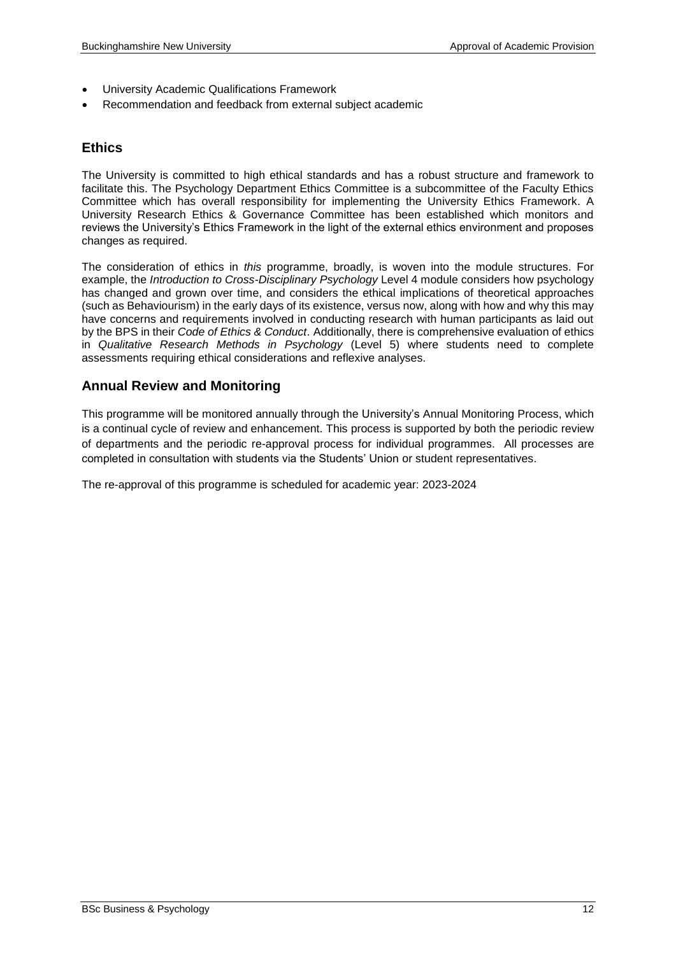- University Academic Qualifications Framework
- Recommendation and feedback from external subject academic

### **Ethics**

The University is committed to high ethical standards and has a robust structure and framework to facilitate this. The Psychology Department Ethics Committee is a subcommittee of the Faculty Ethics Committee which has overall responsibility for implementing the University Ethics Framework. A University Research Ethics & Governance Committee has been established which monitors and reviews the University's Ethics Framework in the light of the external ethics environment and proposes changes as required.

The consideration of ethics in *this* programme, broadly, is woven into the module structures. For example, the *Introduction to Cross-Disciplinary Psychology* Level 4 module considers how psychology has changed and grown over time, and considers the ethical implications of theoretical approaches (such as Behaviourism) in the early days of its existence, versus now, along with how and why this may have concerns and requirements involved in conducting research with human participants as laid out by the BPS in their *Code of Ethics & Conduct*. Additionally, there is comprehensive evaluation of ethics in *Qualitative Research Methods in Psychology* (Level 5) where students need to complete assessments requiring ethical considerations and reflexive analyses.

## **Annual Review and Monitoring**

This programme will be monitored annually through the University's Annual Monitoring Process, which is a continual cycle of review and enhancement. This process is supported by both the periodic review of departments and the periodic re-approval process for individual programmes. All processes are completed in consultation with students via the Students' Union or student representatives.

The re-approval of this programme is scheduled for academic year: 2023-2024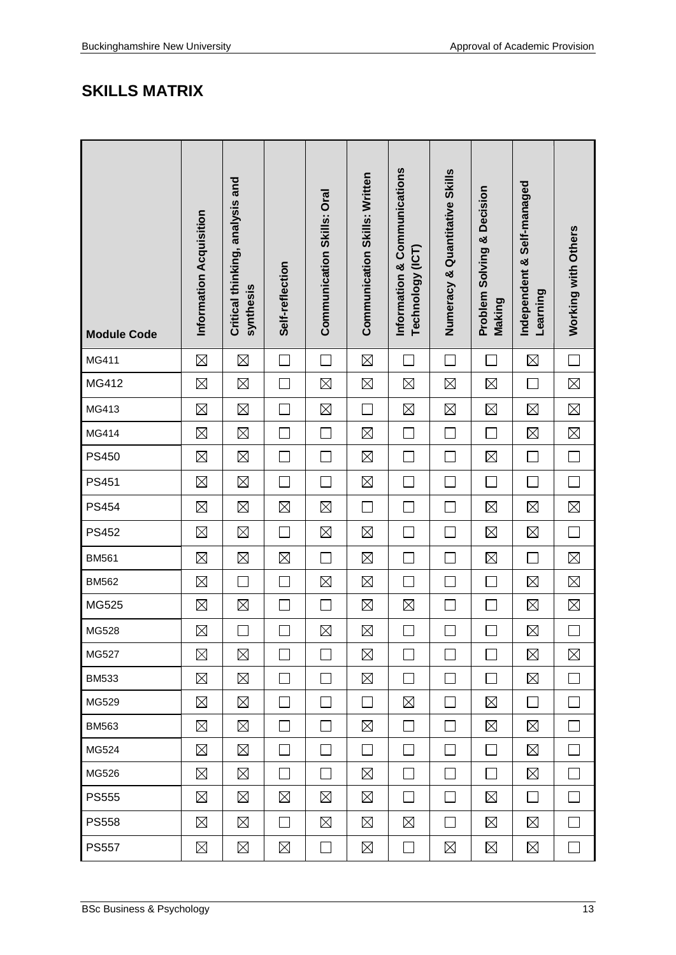## **SKILLS MATRIX**

| <b>Module Code</b> | Information Acquisition | Critical thinking, analysis and<br>synthesis | Self-reflection          | Communication Skills: Oral | <b>Communication Skills: Written</b> | Information & Communications<br>Technology (ICT) | Numeracy & Quantitative Skills | <b>Problem Solving &amp; Decision</b><br>Making | Independent & Self-managed<br>Learning | Working with Others |
|--------------------|-------------------------|----------------------------------------------|--------------------------|----------------------------|--------------------------------------|--------------------------------------------------|--------------------------------|-------------------------------------------------|----------------------------------------|---------------------|
| MG411              | $\boxtimes$             | $\boxtimes$                                  | $\Box$                   | $\Box$                     | $\boxtimes$                          | ┓                                                | $\Box$                         | $\sim$                                          | $\boxtimes$                            | $\Box$              |
| MG412              | $\boxtimes$             | $\boxtimes$                                  | $\Box$                   | $\boxtimes$                | $\boxtimes$                          | $\boxtimes$                                      | $\boxtimes$                    | $\boxtimes$                                     | $\Box$                                 | $\boxtimes$         |
| MG413              | $\boxtimes$             | $\boxtimes$                                  | $\Box$                   | $\boxtimes$                | $\Box$                               | $\boxtimes$                                      | $\boxtimes$                    | $\boxtimes$                                     | $\boxtimes$                            | $\boxtimes$         |
| MG414              | $\boxtimes$             | $\boxtimes$                                  | $\Box$                   | $\Box$                     | $\boxtimes$                          | $\Box$                                           | $\Box$                         | $\Box$                                          | $\boxtimes$                            | $\boxtimes$         |
| <b>PS450</b>       | $\boxtimes$             | $\boxtimes$                                  | $\Box$                   | $\Box$                     | $\boxtimes$                          | $\mathcal{L}$                                    | L.                             | $\boxtimes$                                     | $\Box$                                 | $\Box$              |
| PS451              | $\boxtimes$             | $\boxtimes$                                  | $\Box$                   | П                          | $\boxtimes$                          | $\Box$                                           | Г                              | $\Box$                                          | $\mathcal{L}_{\mathcal{A}}$            | $\Box$              |
| <b>PS454</b>       | $\boxtimes$             | $\boxtimes$                                  | $\boxtimes$              | $\boxtimes$                | $\Box$                               | $\Box$                                           | $\Box$                         | $\boxtimes$                                     | $\boxtimes$                            | $\boxtimes$         |
| <b>PS452</b>       | $\boxtimes$             | $\boxtimes$                                  | $\Box$                   | $\boxtimes$                | $\boxtimes$                          |                                                  | ┌                              | $\boxtimes$                                     | $\boxtimes$                            | $\Box$              |
| <b>BM561</b>       | $\boxtimes$             | $\boxtimes$                                  | $\boxtimes$              | $\Box$                     | $\boxtimes$                          | ٦                                                | Г                              | $\boxtimes$                                     | $\mathcal{L}_{\mathcal{A}}$            | $\boxtimes$         |
| <b>BM562</b>       | $\boxtimes$             | $\Box$                                       | $\Box$                   | $\boxtimes$                | $\boxtimes$                          | ┐                                                |                                | $\mathcal{L}_{\mathcal{A}}$                     | $\boxtimes$                            | $\boxtimes$         |
| MG525              | $\boxtimes$             | $\boxtimes$                                  | $\overline{\phantom{a}}$ | $\mathcal{L}$              | $\boxtimes$                          | $\boxtimes$                                      |                                |                                                 | $\boxtimes$                            | $\boxtimes$         |
| MG528              | $\boxtimes$             | $\Box$                                       | $\Box$                   | $\boxtimes$                | $\boxtimes$                          | ┐                                                | $\mathcal{L}_{\mathcal{A}}$    |                                                 | $\boxtimes$                            | $\Box$              |
| MG527              | $\boxtimes$             | $\boxtimes$                                  |                          |                            | $\boxtimes$                          |                                                  |                                |                                                 | $\boxtimes$                            | $\boxtimes$         |
| <b>BM533</b>       | $\boxtimes$             | $\boxtimes$                                  | $\Box$                   | $\vert \ \ \vert$          | $\boxtimes$                          | $\mathsf{L}$                                     | $\mathbf{L}$                   | $\mathcal{L}$                                   | $\boxtimes$                            | $\mathbf{I}$        |
| MG529              | $\boxtimes$             | $\boxtimes$                                  | $\Box$                   | $\Box$                     | $\Box$                               | $\boxtimes$                                      | $\mathbf{L}$                   | $\boxtimes$                                     | $\Box$                                 | $\Box$              |
| <b>BM563</b>       | $\boxtimes$             | $\boxtimes$                                  | $\Box$                   | $\vert \ \ \vert$          | $\boxtimes$                          | $\Box$                                           | $\sim$                         | $\boxtimes$                                     | $\boxtimes$                            | $\Box$              |
| MG524              | $\boxtimes$             | $\boxtimes$                                  | $\Box$                   | $\mathbf{L}$               | $\Box$                               | $\mathbf{I}$                                     | $\mathbf{L}$                   | $\mathbf{L}$                                    | $\boxtimes$                            | $\Box$              |
| MG526              | ⊠                       | $\boxtimes$                                  | $\Box$                   | П                          | $\boxtimes$                          | $\Box$                                           | $\mathbb{R}^n$                 | $\Box$                                          | $\boxtimes$                            | $\Box$              |
| <b>PS555</b>       | ⊠                       | $\boxtimes$                                  | $\boxtimes$              | $\boxtimes$                | $\boxtimes$                          | $\Box$                                           | $\Box$                         | $\boxtimes$                                     | $\Box$                                 | $\Box$              |
| <b>PS558</b>       | ⊠                       | $\boxtimes$                                  | $\Box$                   | $\boxtimes$                | ⊠                                    | $\boxtimes$                                      | $\Box$                         | $\boxtimes$                                     | $\boxtimes$                            | $\Box$              |
| <b>PS557</b>       | $\boxtimes$             | $\boxtimes$                                  | $\boxtimes$              | $\Box$                     | $\boxtimes$                          | $\Box$                                           | $\boxtimes$                    | $\boxtimes$                                     | $\boxtimes$                            | $\Box$              |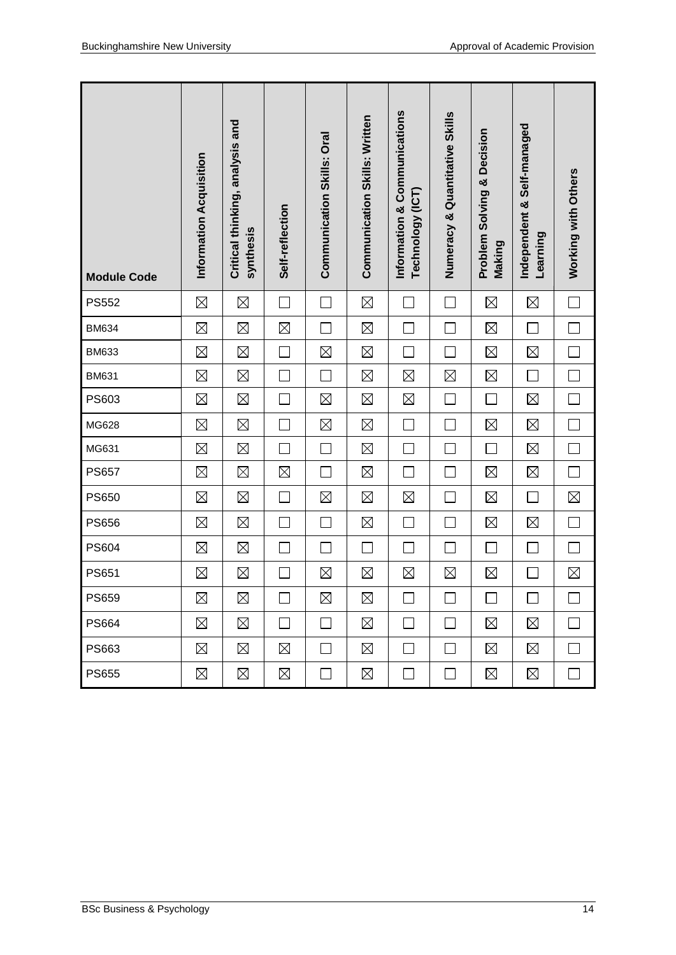| <b>Module Code</b> | Information Acquisition | Critical thinking, analysis and<br>synthesis | Self-reflection | Communication Skills: Oral | <b>Communication Skills: Written</b> | Information & Communications<br>Technology (ICT) | Numeracy & Quantitative Skills | <b>Problem Solving &amp; Decision</b><br>Making | Independent & Self-managed<br>Learning | Working with Others         |
|--------------------|-------------------------|----------------------------------------------|-----------------|----------------------------|--------------------------------------|--------------------------------------------------|--------------------------------|-------------------------------------------------|----------------------------------------|-----------------------------|
| <b>PS552</b>       | $\boxtimes$             | $\boxtimes$                                  |                 |                            | $\boxtimes$                          |                                                  |                                | $\boxtimes$                                     | $\boxtimes$                            | $\mathcal{L}_{\mathcal{A}}$ |
| <b>BM634</b>       | $\boxtimes$             | $\boxtimes$                                  | $\boxtimes$     | $\mathbb{R}^n$             | $\boxtimes$                          | $\Box$                                           |                                | $\boxtimes$                                     | $\Box$                                 | $\Box$                      |
| <b>BM633</b>       | $\boxtimes$             | $\boxtimes$                                  | $\Box$          | $\boxtimes$                | $\boxtimes$                          | $\Box$                                           |                                | $\boxtimes$                                     | $\boxtimes$                            | $\Box$                      |
| <b>BM631</b>       | $\boxtimes$             | $\boxtimes$                                  | $\Box$          | $\Box$                     | $\boxtimes$                          | $\boxtimes$                                      | $\boxtimes$                    | $\boxtimes$                                     | $\Box$                                 | $\Box$                      |
| PS603              | $\boxtimes$             | $\boxtimes$                                  | $\Box$          | $\boxtimes$                | $\boxtimes$                          | $\boxtimes$                                      | $\Box$                         | $\Box$                                          | $\boxtimes$                            | $\Box$                      |
| MG628              | $\boxtimes$             | $\boxtimes$                                  |                 | $\boxtimes$                | $\boxtimes$                          | $\mathcal{L}_{\mathcal{A}}$                      |                                | $\boxtimes$                                     | $\boxtimes$                            | $\Box$                      |
| MG631              | $\boxtimes$             | $\boxtimes$                                  |                 |                            | $\boxtimes$                          | $\overline{\phantom{0}}$                         |                                |                                                 | $\boxtimes$                            | $\Box$                      |
| <b>PS657</b>       | $\boxtimes$             | $\boxtimes$                                  | $\boxtimes$     | Ξ                          | $\boxtimes$                          | $\mathbb{Z}^2$                                   |                                | $\boxtimes$                                     | $\boxtimes$                            | $\Box$                      |
| <b>PS650</b>       | $\boxtimes$             | $\boxtimes$                                  | $\Box$          | $\boxtimes$                | $\boxtimes$                          | $\boxtimes$                                      |                                | $\boxtimes$                                     | $\Box$                                 | $\boxtimes$                 |
| <b>PS656</b>       | $\boxtimes$             | $\boxtimes$                                  | $\Box$          | $\Box$                     | $\boxtimes$                          | $\Box$                                           | $\mathcal{L}$                  | $\boxtimes$                                     | $\boxtimes$                            | $\Box$                      |
| <b>PS604</b>       | $\boxtimes$             | $\boxtimes$                                  | $\Box$          | $\Box$                     | $\Box$                               | $\Box$                                           | $\mathcal{L}_{\mathcal{A}}$    | $\mathcal{L}_{\mathcal{A}}$                     | $\overline{\phantom{a}}$               | $\Box$                      |
| <b>PS651</b>       | $\boxtimes$             | $\boxtimes$                                  | $\Box$          | $\boxtimes$                | $\boxtimes$                          | $\boxtimes$                                      | $\boxtimes$                    | $\boxtimes$                                     |                                        | $\boxtimes$                 |
| PS659              | $\boxtimes$             | $\boxtimes$                                  |                 | $\boxtimes$                | $\boxtimes$                          | ∟                                                |                                |                                                 |                                        | Г                           |
| <b>PS664</b>       | ⊠                       | $\boxtimes$                                  | $\Box$          | $\Box$                     | ⊠                                    | $\Box$                                           | $\mathcal{L}_{\mathcal{A}}$    | $\boxtimes$                                     | ⊠                                      | $\Box$                      |
| PS663              | $\boxtimes$             | $\boxtimes$                                  | $\boxtimes$     | $\mathbf{L}$               | $\boxtimes$                          | $\mathcal{L}_{\mathcal{A}}$                      |                                | $\boxtimes$                                     | $\boxtimes$                            | $\overline{\phantom{a}}$    |
| <b>PS655</b>       | $\boxtimes$             | $\boxtimes$                                  | $\boxtimes$     | $\Box$                     | $\boxtimes$                          | $\Box$                                           | $\Box$                         | $\boxtimes$                                     | $\boxtimes$                            | $\Box$                      |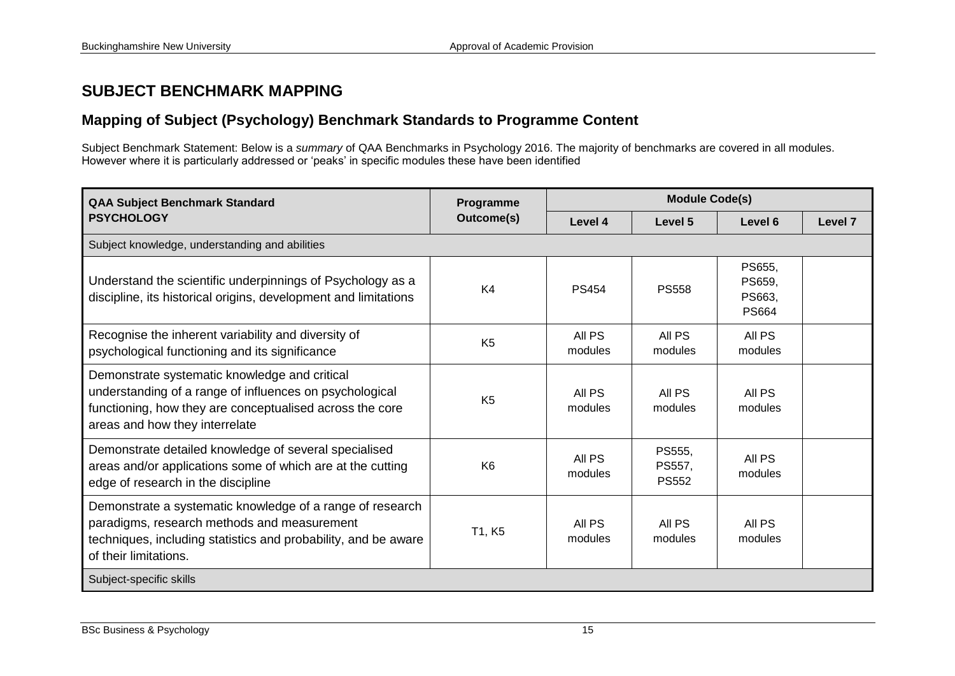## **SUBJECT BENCHMARK MAPPING**

## **Mapping of Subject (Psychology) Benchmark Standards to Programme Content**

Subject Benchmark Statement: Below is a *summary* of QAA Benchmarks in Psychology 2016. The majority of benchmarks are covered in all modules. However where it is particularly addressed or 'peaks' in specific modules these have been identified

| <b>QAA Subject Benchmark Standard</b>                                                                                                                                                                  | <b>Module Code(s)</b><br>Programme |                   |                                  |                                            |                    |
|--------------------------------------------------------------------------------------------------------------------------------------------------------------------------------------------------------|------------------------------------|-------------------|----------------------------------|--------------------------------------------|--------------------|
| <b>PSYCHOLOGY</b>                                                                                                                                                                                      | Outcome(s)                         | Level 4           | Level 5                          | Level 6                                    | Level <sub>7</sub> |
| Subject knowledge, understanding and abilities                                                                                                                                                         |                                    |                   |                                  |                                            |                    |
| Understand the scientific underpinnings of Psychology as a<br>discipline, its historical origins, development and limitations                                                                          | K4                                 | <b>PS454</b>      | <b>PS558</b>                     | PS655,<br>PS659,<br>PS663,<br><b>PS664</b> |                    |
| Recognise the inherent variability and diversity of<br>psychological functioning and its significance                                                                                                  | K <sub>5</sub>                     | All PS<br>modules | All PS<br>modules                | All PS<br>modules                          |                    |
| Demonstrate systematic knowledge and critical<br>understanding of a range of influences on psychological<br>functioning, how they are conceptualised across the core<br>areas and how they interrelate | K <sub>5</sub>                     | All PS<br>modules | All PS<br>modules                | All PS<br>modules                          |                    |
| Demonstrate detailed knowledge of several specialised<br>areas and/or applications some of which are at the cutting<br>edge of research in the discipline                                              | K <sub>6</sub>                     | All PS<br>modules | PS555,<br>PS557,<br><b>PS552</b> | All PS<br>modules                          |                    |
| Demonstrate a systematic knowledge of a range of research<br>paradigms, research methods and measurement<br>techniques, including statistics and probability, and be aware<br>of their limitations.    | T1, K5                             | All PS<br>modules | All PS<br>modules                | All PS<br>modules                          |                    |
| Subject-specific skills                                                                                                                                                                                |                                    |                   |                                  |                                            |                    |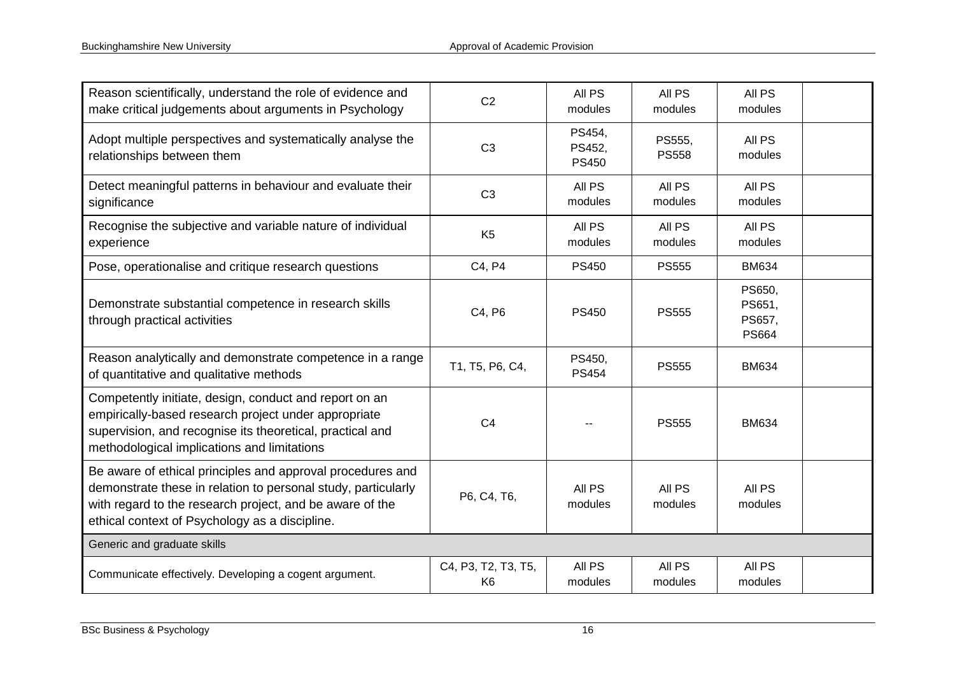| Reason scientifically, understand the role of evidence and<br>make critical judgements about arguments in Psychology                                                                                                                      | C <sub>2</sub>                        | All PS<br>modules                | All PS<br>modules      | All PS<br>modules                          |  |
|-------------------------------------------------------------------------------------------------------------------------------------------------------------------------------------------------------------------------------------------|---------------------------------------|----------------------------------|------------------------|--------------------------------------------|--|
| Adopt multiple perspectives and systematically analyse the<br>relationships between them                                                                                                                                                  | C <sub>3</sub>                        | PS454,<br>PS452,<br><b>PS450</b> | PS555,<br><b>PS558</b> | All PS<br>modules                          |  |
| Detect meaningful patterns in behaviour and evaluate their<br>significance                                                                                                                                                                | C <sub>3</sub>                        | All PS<br>modules                | All PS<br>modules      | All PS<br>modules                          |  |
| Recognise the subjective and variable nature of individual<br>experience                                                                                                                                                                  | K <sub>5</sub>                        | All PS<br>modules                | All PS<br>modules      | All PS<br>modules                          |  |
| Pose, operationalise and critique research questions                                                                                                                                                                                      | C4, P4                                | <b>PS450</b>                     | <b>PS555</b>           | <b>BM634</b>                               |  |
| Demonstrate substantial competence in research skills<br>through practical activities                                                                                                                                                     | C4, P6                                | <b>PS450</b>                     | <b>PS555</b>           | PS650,<br>PS651,<br>PS657,<br><b>PS664</b> |  |
| Reason analytically and demonstrate competence in a range<br>of quantitative and qualitative methods                                                                                                                                      | T1, T5, P6, C4,                       | PS450,<br><b>PS454</b>           | <b>PS555</b>           | <b>BM634</b>                               |  |
| Competently initiate, design, conduct and report on an<br>empirically-based research project under appropriate<br>supervision, and recognise its theoretical, practical and<br>methodological implications and limitations                | C <sub>4</sub>                        |                                  | <b>PS555</b>           | <b>BM634</b>                               |  |
| Be aware of ethical principles and approval procedures and<br>demonstrate these in relation to personal study, particularly<br>with regard to the research project, and be aware of the<br>ethical context of Psychology as a discipline. | P6, C4, T6,                           | All PS<br>modules                | All PS<br>modules      | All PS<br>modules                          |  |
| Generic and graduate skills                                                                                                                                                                                                               |                                       |                                  |                        |                                            |  |
| Communicate effectively. Developing a cogent argument.                                                                                                                                                                                    | C4, P3, T2, T3, T5,<br>K <sub>6</sub> | All PS<br>modules                | All PS<br>modules      | All PS<br>modules                          |  |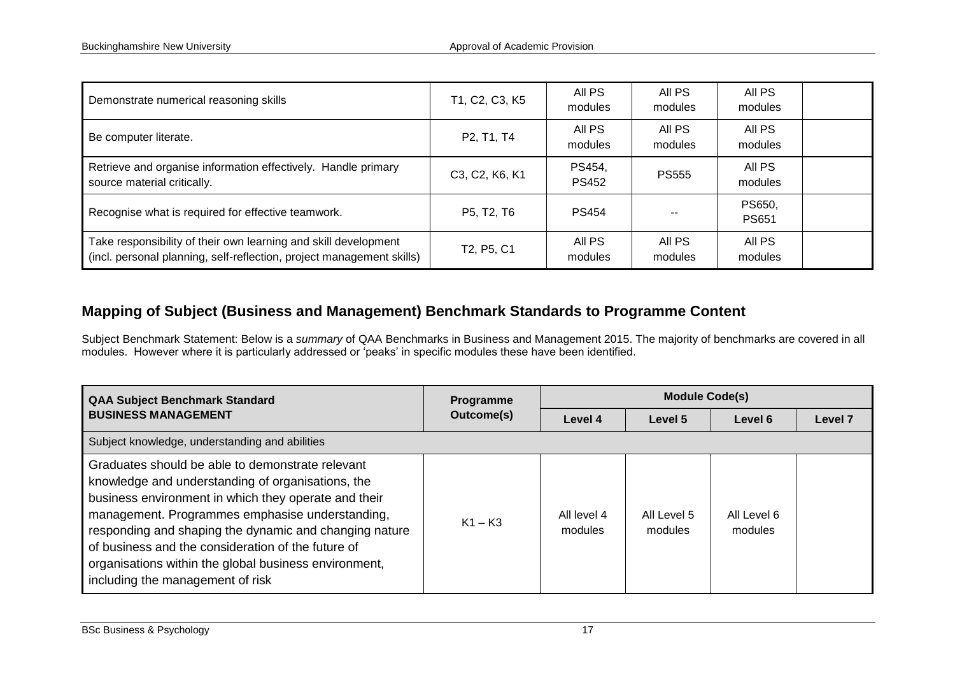| Demonstrate numerical reasoning skills                                                                                                   | T1, C2, C3, K5 | All PS<br>modules      | All PS<br>modules | All PS<br>modules      |  |
|------------------------------------------------------------------------------------------------------------------------------------------|----------------|------------------------|-------------------|------------------------|--|
| Be computer literate.                                                                                                                    | P2, T1, T4     | All PS<br>modules      | All PS<br>modules | All PS<br>modules      |  |
| Retrieve and organise information effectively. Handle primary<br>source material critically.                                             | C3, C2, K6, K1 | PS454,<br><b>PS452</b> | <b>PS555</b>      | All PS<br>modules      |  |
| Recognise what is required for effective teamwork.                                                                                       | P5, T2, T6     | <b>PS454</b>           |                   | PS650,<br><b>PS651</b> |  |
| Take responsibility of their own learning and skill development<br>(incl. personal planning, self-reflection, project management skills) | T2, P5, C1     | All PS<br>modules      | All PS<br>modules | All PS<br>modules      |  |

## **Mapping of Subject (Business and Management) Benchmark Standards to Programme Content**

Subject Benchmark Statement: Below is a *summary* of QAA Benchmarks in Business and Management 2015. The majority of benchmarks are covered in all modules. However where it is particularly addressed or 'peaks' in specific modules these have been identified.

| <b>QAA Subject Benchmark Standard</b>                                                                                                                                                                                                                                                                                                                                                                                         | Programme  | <b>Module Code(s)</b>  |                        |                        |         |  |  |  |  |
|-------------------------------------------------------------------------------------------------------------------------------------------------------------------------------------------------------------------------------------------------------------------------------------------------------------------------------------------------------------------------------------------------------------------------------|------------|------------------------|------------------------|------------------------|---------|--|--|--|--|
| <b>BUSINESS MANAGEMENT</b>                                                                                                                                                                                                                                                                                                                                                                                                    | Outcome(s) | Level 4                | Level 5                | Level 6                | Level 7 |  |  |  |  |
| Subject knowledge, understanding and abilities                                                                                                                                                                                                                                                                                                                                                                                |            |                        |                        |                        |         |  |  |  |  |
| Graduates should be able to demonstrate relevant<br>knowledge and understanding of organisations, the<br>business environment in which they operate and their<br>management. Programmes emphasise understanding,<br>responding and shaping the dynamic and changing nature<br>of business and the consideration of the future of<br>organisations within the global business environment,<br>including the management of risk | $K1 - K3$  | All level 4<br>modules | All Level 5<br>modules | All Level 6<br>modules |         |  |  |  |  |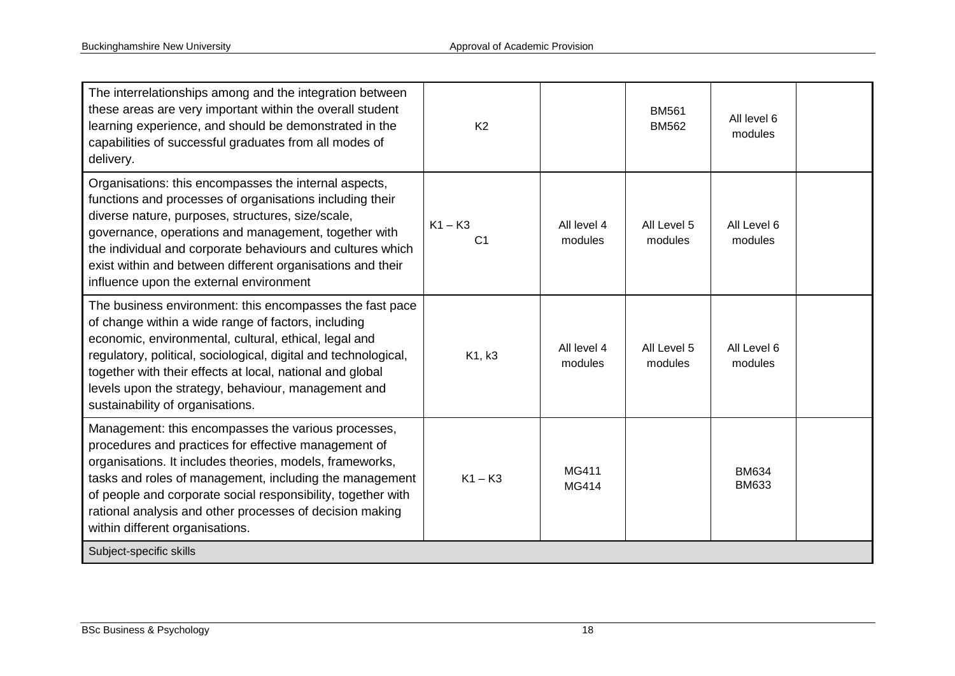| The interrelationships among and the integration between<br>these areas are very important within the overall student<br>learning experience, and should be demonstrated in the<br>capabilities of successful graduates from all modes of<br>delivery.                                                                                                                                                | K <sub>2</sub>              |                        | <b>BM561</b><br><b>BM562</b> | All level 6<br>modules       |  |
|-------------------------------------------------------------------------------------------------------------------------------------------------------------------------------------------------------------------------------------------------------------------------------------------------------------------------------------------------------------------------------------------------------|-----------------------------|------------------------|------------------------------|------------------------------|--|
| Organisations: this encompasses the internal aspects,<br>functions and processes of organisations including their<br>diverse nature, purposes, structures, size/scale,<br>governance, operations and management, together with<br>the individual and corporate behaviours and cultures which<br>exist within and between different organisations and their<br>influence upon the external environment | $K1 - K3$<br>C <sub>1</sub> | All level 4<br>modules | All Level 5<br>modules       | All Level 6<br>modules       |  |
| The business environment: this encompasses the fast pace<br>of change within a wide range of factors, including<br>economic, environmental, cultural, ethical, legal and<br>regulatory, political, sociological, digital and technological,<br>together with their effects at local, national and global<br>levels upon the strategy, behaviour, management and<br>sustainability of organisations.   | K1, k3                      | All level 4<br>modules | All Level 5<br>modules       | All Level 6<br>modules       |  |
| Management: this encompasses the various processes,<br>procedures and practices for effective management of<br>organisations. It includes theories, models, frameworks,<br>tasks and roles of management, including the management<br>of people and corporate social responsibility, together with<br>rational analysis and other processes of decision making<br>within different organisations.     | $K1 - K3$                   | MG411<br>MG414         |                              | <b>BM634</b><br><b>BM633</b> |  |
| Subject-specific skills                                                                                                                                                                                                                                                                                                                                                                               |                             |                        |                              |                              |  |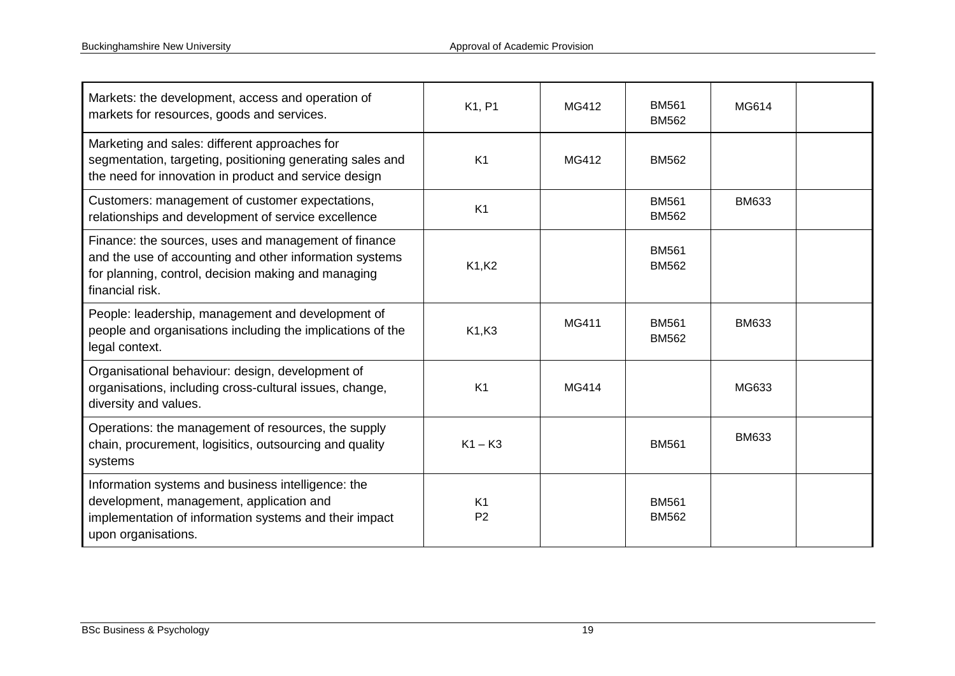| Markets: the development, access and operation of<br>markets for resources, goods and services.                                                                                           | K1, P1                           | MG412 | <b>BM561</b><br><b>BM562</b> | MG614        |  |
|-------------------------------------------------------------------------------------------------------------------------------------------------------------------------------------------|----------------------------------|-------|------------------------------|--------------|--|
| Marketing and sales: different approaches for<br>segmentation, targeting, positioning generating sales and<br>the need for innovation in product and service design                       | K <sub>1</sub>                   | MG412 | <b>BM562</b>                 |              |  |
| Customers: management of customer expectations,<br>relationships and development of service excellence                                                                                    | K <sub>1</sub>                   |       | <b>BM561</b><br><b>BM562</b> | <b>BM633</b> |  |
| Finance: the sources, uses and management of finance<br>and the use of accounting and other information systems<br>for planning, control, decision making and managing<br>financial risk. | K1,K2                            |       | <b>BM561</b><br><b>BM562</b> |              |  |
| People: leadership, management and development of<br>people and organisations including the implications of the<br>legal context.                                                         | K1, K3                           | MG411 | <b>BM561</b><br><b>BM562</b> | <b>BM633</b> |  |
| Organisational behaviour: design, development of<br>organisations, including cross-cultural issues, change,<br>diversity and values.                                                      | K <sub>1</sub>                   | MG414 |                              | MG633        |  |
| Operations: the management of resources, the supply<br>chain, procurement, logisitics, outsourcing and quality<br>systems                                                                 | $K1 - K3$                        |       | <b>BM561</b>                 | <b>BM633</b> |  |
| Information systems and business intelligence: the<br>development, management, application and<br>implementation of information systems and their impact<br>upon organisations.           | K <sub>1</sub><br>P <sub>2</sub> |       | <b>BM561</b><br><b>BM562</b> |              |  |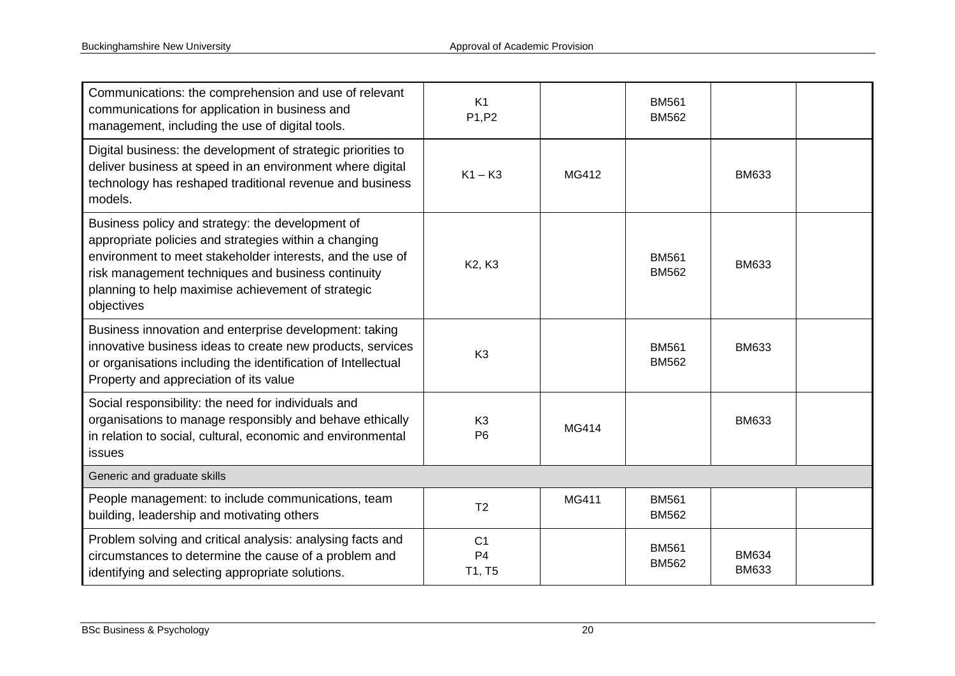| Communications: the comprehension and use of relevant<br>communications for application in business and<br>management, including the use of digital tools.                                                                                                                                       | K1<br>P1, P2                               |       | <b>BM561</b><br><b>BM562</b> |                              |  |
|--------------------------------------------------------------------------------------------------------------------------------------------------------------------------------------------------------------------------------------------------------------------------------------------------|--------------------------------------------|-------|------------------------------|------------------------------|--|
| Digital business: the development of strategic priorities to<br>deliver business at speed in an environment where digital<br>technology has reshaped traditional revenue and business<br>models.                                                                                                 | $K1 - K3$                                  | MG412 |                              | <b>BM633</b>                 |  |
| Business policy and strategy: the development of<br>appropriate policies and strategies within a changing<br>environment to meet stakeholder interests, and the use of<br>risk management techniques and business continuity<br>planning to help maximise achievement of strategic<br>objectives | K <sub>2</sub> , K <sub>3</sub>            |       | <b>BM561</b><br><b>BM562</b> | <b>BM633</b>                 |  |
| Business innovation and enterprise development: taking<br>innovative business ideas to create new products, services<br>or organisations including the identification of Intellectual<br>Property and appreciation of its value                                                                  | K <sub>3</sub>                             |       | <b>BM561</b><br><b>BM562</b> | <b>BM633</b>                 |  |
| Social responsibility: the need for individuals and<br>organisations to manage responsibly and behave ethically<br>in relation to social, cultural, economic and environmental<br>issues                                                                                                         | K <sub>3</sub><br>P <sub>6</sub>           | MG414 |                              | <b>BM633</b>                 |  |
| Generic and graduate skills                                                                                                                                                                                                                                                                      |                                            |       |                              |                              |  |
| People management: to include communications, team<br>building, leadership and motivating others                                                                                                                                                                                                 | T <sub>2</sub>                             | MG411 | <b>BM561</b><br><b>BM562</b> |                              |  |
| Problem solving and critical analysis: analysing facts and<br>circumstances to determine the cause of a problem and<br>identifying and selecting appropriate solutions.                                                                                                                          | C <sub>1</sub><br>P <sub>4</sub><br>T1, T5 |       | <b>BM561</b><br><b>BM562</b> | <b>BM634</b><br><b>BM633</b> |  |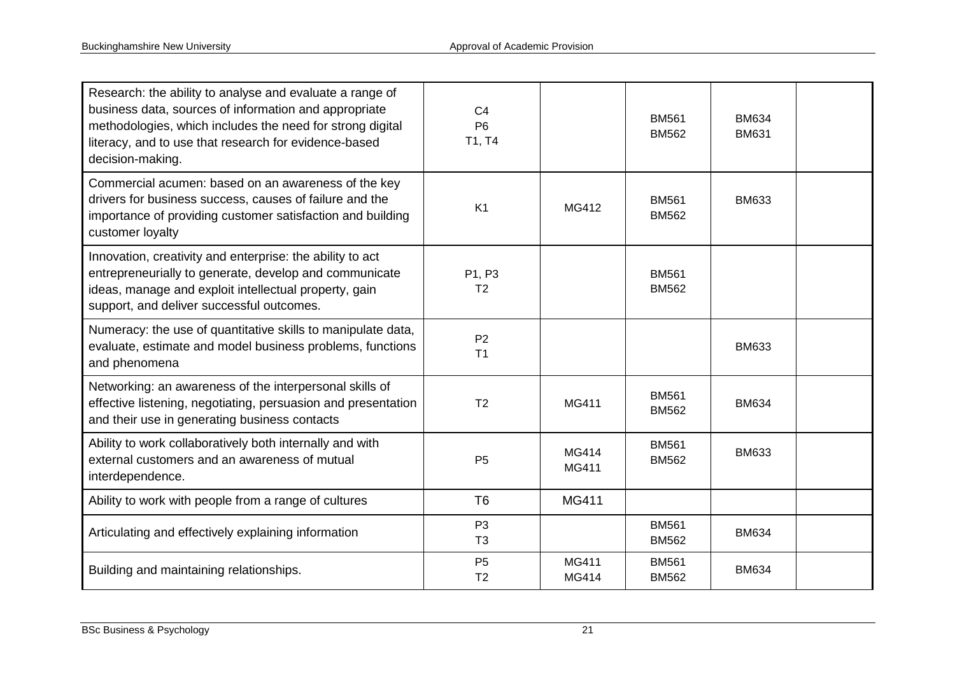| Research: the ability to analyse and evaluate a range of<br>business data, sources of information and appropriate<br>methodologies, which includes the need for strong digital<br>literacy, and to use that research for evidence-based<br>decision-making. | C <sub>4</sub><br>P <sub>6</sub><br>T1, T4 |                       | <b>BM561</b><br><b>BM562</b> | <b>BM634</b><br><b>BM631</b> |  |
|-------------------------------------------------------------------------------------------------------------------------------------------------------------------------------------------------------------------------------------------------------------|--------------------------------------------|-----------------------|------------------------------|------------------------------|--|
| Commercial acumen: based on an awareness of the key<br>drivers for business success, causes of failure and the<br>importance of providing customer satisfaction and building<br>customer loyalty                                                            | K <sub>1</sub>                             | MG412                 | <b>BM561</b><br><b>BM562</b> | <b>BM633</b>                 |  |
| Innovation, creativity and enterprise: the ability to act<br>entrepreneurially to generate, develop and communicate<br>ideas, manage and exploit intellectual property, gain<br>support, and deliver successful outcomes.                                   | P1, P3<br>T <sub>2</sub>                   |                       | <b>BM561</b><br><b>BM562</b> |                              |  |
| Numeracy: the use of quantitative skills to manipulate data,<br>evaluate, estimate and model business problems, functions<br>and phenomena                                                                                                                  | P <sub>2</sub><br>T <sub>1</sub>           |                       |                              | <b>BM633</b>                 |  |
| Networking: an awareness of the interpersonal skills of<br>effective listening, negotiating, persuasion and presentation<br>and their use in generating business contacts                                                                                   | T <sub>2</sub>                             | <b>MG411</b>          | <b>BM561</b><br><b>BM562</b> | <b>BM634</b>                 |  |
| Ability to work collaboratively both internally and with<br>external customers and an awareness of mutual<br>interdependence.                                                                                                                               | <b>P5</b>                                  | MG414<br><b>MG411</b> | <b>BM561</b><br><b>BM562</b> | <b>BM633</b>                 |  |
| Ability to work with people from a range of cultures                                                                                                                                                                                                        | T <sub>6</sub>                             | <b>MG411</b>          |                              |                              |  |
| Articulating and effectively explaining information                                                                                                                                                                                                         | P <sub>3</sub><br>T <sub>3</sub>           |                       | <b>BM561</b><br><b>BM562</b> | <b>BM634</b>                 |  |
| Building and maintaining relationships.                                                                                                                                                                                                                     | P <sub>5</sub><br>T <sub>2</sub>           | <b>MG411</b><br>MG414 | <b>BM561</b><br><b>BM562</b> | <b>BM634</b>                 |  |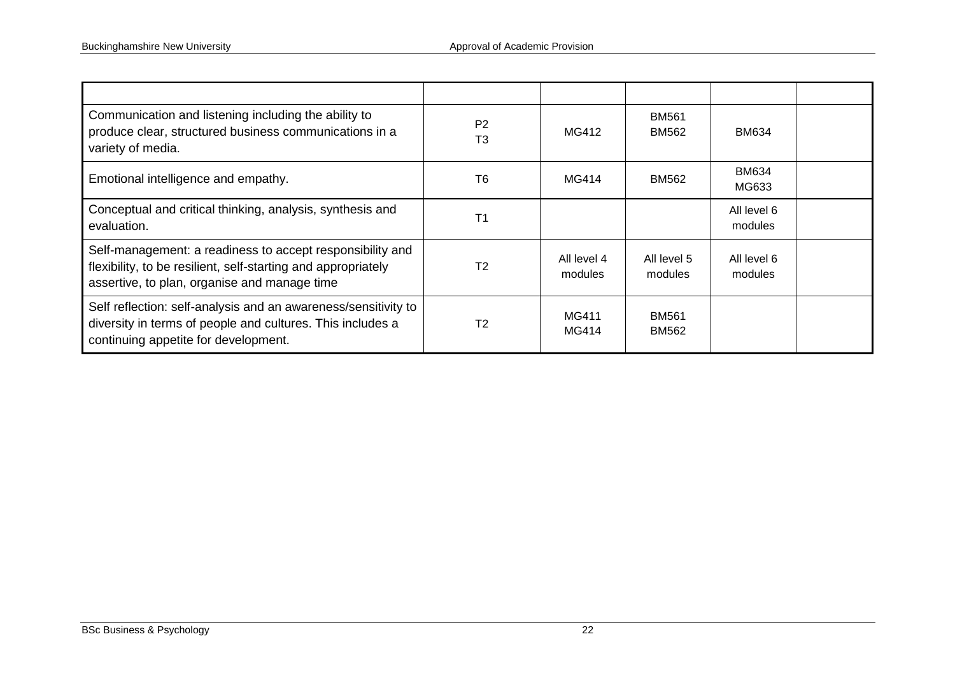| Communication and listening including the ability to<br>produce clear, structured business communications in a<br>variety of media.                                        | P <sub>2</sub><br>T3 | MG412                  | <b>BM561</b><br><b>BM562</b> | BM634                  |  |
|----------------------------------------------------------------------------------------------------------------------------------------------------------------------------|----------------------|------------------------|------------------------------|------------------------|--|
| Emotional intelligence and empathy.                                                                                                                                        | T6                   | MG414                  | BM562                        | <b>BM634</b><br>MG633  |  |
| Conceptual and critical thinking, analysis, synthesis and<br>evaluation.                                                                                                   | T <sub>1</sub>       |                        |                              | All level 6<br>modules |  |
| Self-management: a readiness to accept responsibility and<br>flexibility, to be resilient, self-starting and appropriately<br>assertive, to plan, organise and manage time | T <sub>2</sub>       | All level 4<br>modules | All level 5<br>modules       | All level 6<br>modules |  |
| Self reflection: self-analysis and an awareness/sensitivity to<br>diversity in terms of people and cultures. This includes a<br>continuing appetite for development.       | T <sub>2</sub>       | MG411<br>MG414         | <b>BM561</b><br><b>BM562</b> |                        |  |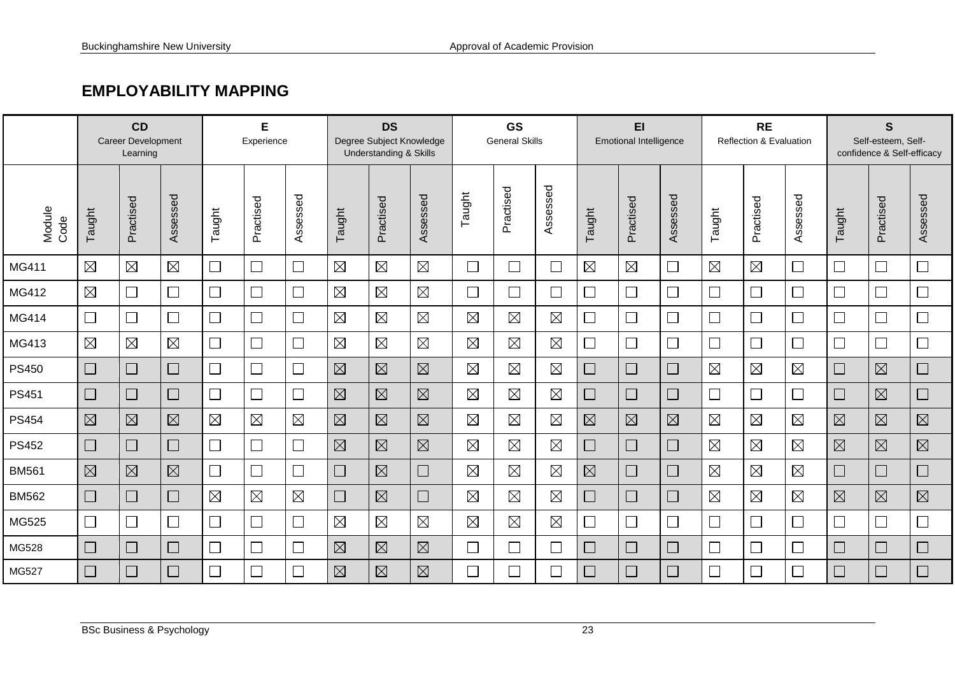## **EMPLOYABILITY MAPPING**

|                | CD<br><b>Career Development</b><br>Learning |                          |             | E<br>Experience          |             |                             | <b>DS</b><br>Degree Subject Knowledge<br><b>Understanding &amp; Skills</b> |             |             | <b>GS</b><br><b>General Skills</b> |             |                             | EI<br><b>Emotional Intelligence</b> |             |             | <b>RE</b><br>Reflection & Evaluation |             |                          | $\mathbf S$<br>Self-esteem, Self-<br>confidence & Self-efficacy |             |                          |
|----------------|---------------------------------------------|--------------------------|-------------|--------------------------|-------------|-----------------------------|----------------------------------------------------------------------------|-------------|-------------|------------------------------------|-------------|-----------------------------|-------------------------------------|-------------|-------------|--------------------------------------|-------------|--------------------------|-----------------------------------------------------------------|-------------|--------------------------|
| Module<br>Code | Taught                                      | Practised                | Assessed    | Taught                   | Practised   | Assessed                    | Taught                                                                     | Practised   | Assessed    | Taught                             | Practised   | Assessed                    | Taught                              | Practised   | Assessed    | Taught                               | Practised   | Assessed                 | Taught                                                          | Practised   | Assessed                 |
| MG411          | $\boxtimes$                                 | $\boxtimes$              | $\boxtimes$ | $\Box$                   | $\Box$      | $\Box$                      | $\boxtimes$                                                                | $\boxtimes$ | $\boxtimes$ | $\Box$                             | $\Box$      | $\mathcal{L}_{\mathcal{A}}$ | $\boxtimes$                         | $\boxtimes$ | П           | $\boxtimes$                          | $\boxtimes$ | $\Box$                   | $\Box$                                                          | П           | $\Box$                   |
| MG412          | $\boxtimes$                                 | $\Box$                   | $\Box$      | $\overline{\phantom{a}}$ | $\Box$      | $\Box$                      | $\boxtimes$                                                                | $\boxtimes$ | $\boxtimes$ | $\Box$                             | $\Box$      | $\mathcal{L}_{\mathcal{A}}$ | $\Box$                              | $\Box$      | П           | $\Box$                               | $\Box$      |                          | $\Box$                                                          | П           | $\overline{\phantom{a}}$ |
| MG414          | $\Box$                                      | $\Box$                   | $\Box$      | $\Box$                   | $\Box$      | $\Box$                      | $\boxtimes$                                                                | $\boxtimes$ | $\boxtimes$ | $\boxtimes$                        | $\boxtimes$ | $\boxtimes$                 | $\Box$                              | $\Box$      | $\Box$      | $\Box$                               | $\Box$      | $\Box$                   | $\Box$                                                          | $\Box$      | $\Box$                   |
| MG413          | $\boxtimes$                                 | $\boxtimes$              | $\boxtimes$ | $\Box$                   | $\Box$      | $\Box$                      | $\boxtimes$                                                                | $\boxtimes$ | $\boxtimes$ | $\boxtimes$                        | $\boxtimes$ | $\boxtimes$                 | $\Box$                              | $\Box$      | $\Box$      | $\Box$                               | $\Box$      | $\Box$                   | $\Box$                                                          | П           | $\Box$                   |
| <b>PS450</b>   | $\Box$                                      | $\Box$                   | $\Box$      | $\Box$                   | $\Box$      | $\mathcal{L}_{\mathcal{A}}$ | $\boxtimes$                                                                | $\boxtimes$ | $\boxtimes$ | $\boxtimes$                        | $\boxtimes$ | $\boxtimes$                 | $\Box$                              | $\Box$      | $\Box$      | $\boxtimes$                          | $\boxtimes$ | $\boxtimes$              | $\Box$                                                          | $\boxtimes$ | $\Box$                   |
| <b>PS451</b>   | $\Box$                                      | $\Box$                   | $\Box$      | $\Box$                   | $\Box$      |                             | $\boxtimes$                                                                | $\boxtimes$ | $\boxtimes$ | $\boxtimes$                        | $\boxtimes$ | $\boxtimes$                 | $\Box$                              | $\Box$      | $\Box$      | $\Box$                               | $\Box$      | $\overline{\phantom{0}}$ | $\Box$                                                          | $\boxtimes$ | $\Box$                   |
| <b>PS454</b>   | $\boxtimes$                                 | $\boxtimes$              | $\boxtimes$ | $\boxtimes$              | $\boxtimes$ | $\boxtimes$                 | $\boxtimes$                                                                | $\boxtimes$ | $\boxtimes$ | $\boxtimes$                        | $\boxtimes$ | $\boxtimes$                 | $\boxtimes$                         | $\boxtimes$ | $\boxtimes$ | $\boxtimes$                          | $\boxtimes$ | $\boxtimes$              | $\boxtimes$                                                     | $\boxtimes$ | $\boxtimes$              |
| <b>PS452</b>   | $\Box$                                      | $\overline{\phantom{a}}$ | $\Box$      | $\overline{\phantom{a}}$ | $\Box$      | 凵                           | $\boxtimes$                                                                | $\boxtimes$ | $\boxtimes$ | $\boxtimes$                        | $\boxtimes$ | $\boxtimes$                 | $\Box$                              | $\Box$      | $\Box$      | $\boxtimes$                          | $\boxtimes$ | $\boxtimes$              | $\boxtimes$                                                     | $\boxtimes$ | $\boxtimes$              |
| <b>BM561</b>   | $\boxtimes$                                 | $\boxtimes$              | $\boxtimes$ | $\Box$                   | $\Box$      |                             | $\Box$                                                                     | $\boxtimes$ | $\Box$      | $\boxtimes$                        | $\boxtimes$ | $\boxtimes$                 | $\boxtimes$                         | $\Box$      | $\Box$      | $\boxtimes$                          | $\boxtimes$ | $\boxtimes$              | $\Box$                                                          | П           | $\mathbb{R}^2$           |
| <b>BM562</b>   | $\Box$                                      | $\Box$                   | $\Box$      | $\boxtimes$              | $\boxtimes$ | $\boxtimes$                 | $\Box$                                                                     | $\boxtimes$ | $\Box$      | $\boxtimes$                        | $\boxtimes$ | $\boxtimes$                 | $\Box$                              | $\Box$      | $\Box$      | $\boxtimes$                          | $\boxtimes$ | $\boxtimes$              | $\boxtimes$                                                     | $\boxtimes$ | $\boxtimes$              |
| MG525          | $\Box$                                      |                          | $\Box$      | $\Box$                   | $\Box$      | $\Box$                      | $\boxtimes$                                                                | $\boxtimes$ | $\boxtimes$ | $\boxtimes$                        | $\boxtimes$ | $\boxtimes$                 | $\Box$                              | $\Box$      | П           | $\Box$                               | $\Box$      | $\Box$                   | $\Box$                                                          | $\Box$      | $\Box$                   |
| MG528          | $\Box$                                      | $\Box$                   | $\Box$      | $\Box$                   | $\Box$      |                             | $\boxtimes$                                                                | $\boxtimes$ | $\boxtimes$ | $\Box$                             | $\Box$      | $\Box$                      | $\Box$                              | $\Box$      | $\Box$      |                                      | $\Box$      |                          | $\Box$                                                          | $\Box$      | $\Box$                   |
| MG527          | $\Box$                                      |                          | $\Box$      | $\Box$                   | $\Box$      |                             | $\boxtimes$                                                                | $\boxtimes$ | $\boxtimes$ |                                    | $\Box$      | $\mathcal{L}_{\mathcal{A}}$ | $\Box$                              | $\Box$      | $\Box$      | $\Box$                               | $\Box$      | $\Box$                   | $\Box$                                                          | $\Box$      | $\Box$                   |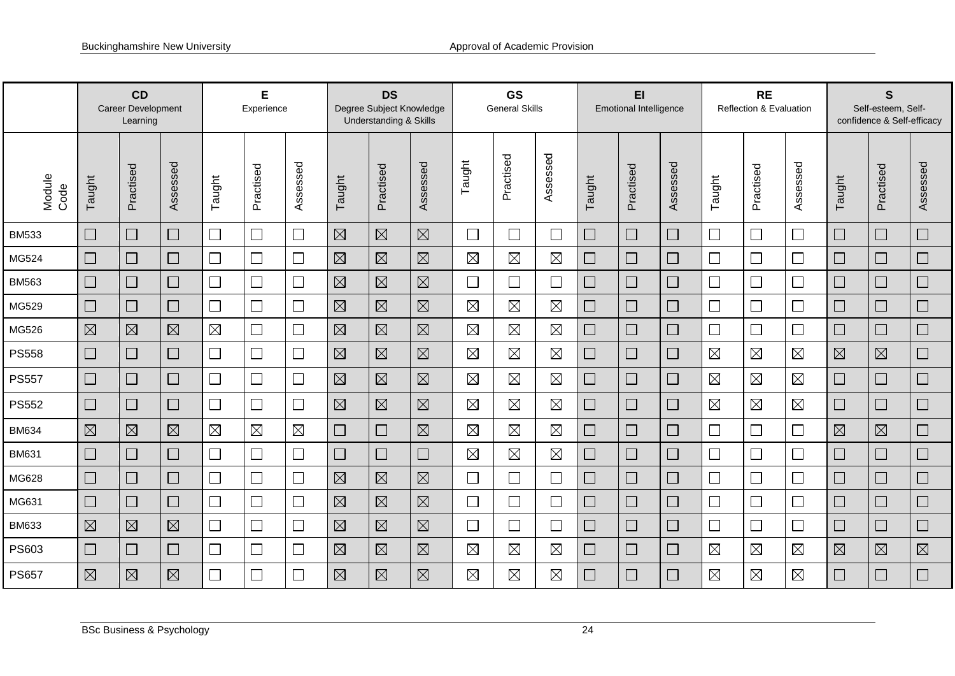|                | CD<br>Career Development<br>Learning |                |                             | Е<br>Experience          |             |                             | <b>DS</b><br>Degree Subject Knowledge<br><b>Understanding &amp; Skills</b> |             |             | <b>GS</b><br><b>General Skills</b> |             |                             | EI<br><b>Emotional Intelligence</b> |           |          |             | <b>RE</b><br>Reflection & Evaluation |                             |             | $\mathbf s$<br>Self-esteem, Self-<br>confidence & Self-efficacy |                             |  |
|----------------|--------------------------------------|----------------|-----------------------------|--------------------------|-------------|-----------------------------|----------------------------------------------------------------------------|-------------|-------------|------------------------------------|-------------|-----------------------------|-------------------------------------|-----------|----------|-------------|--------------------------------------|-----------------------------|-------------|-----------------------------------------------------------------|-----------------------------|--|
| Module<br>Code | Taught                               | Practised      | Assessed                    | Taught                   | Practised   | Assessed                    | Taught                                                                     | Practised   | Assessed    | Taught                             | Practised   | Assessed                    | Taught                              | Practised | Assessed | Taught      | Practised                            | Assessed                    | Taught      | Practised                                                       | Assessed                    |  |
| <b>BM533</b>   | $\Box$                               | $\Box$         | $\Box$                      | $\Box$                   | $\Box$      | $\mathcal{L}_{\mathcal{A}}$ | $\boxtimes$                                                                | $\boxtimes$ | $\boxtimes$ | $\Box$                             | $\Box$      | $\overline{\phantom{a}}$    | $\Box$                              | $\Box$    | $\Box$   | $\Box$      | $\Box$                               | $\Box$                      | $\Box$      | $\Box$                                                          |                             |  |
| MG524          | $\Box$                               | $\Box$         | $\Box$                      | $\Box$                   | $\Box$      |                             | $\boxtimes$                                                                | $\boxtimes$ | $\boxtimes$ | $\boxtimes$                        | $\boxtimes$ | $\boxtimes$                 | $\Box$                              | $\Box$    | $\Box$   | $\Box$      | $\Box$                               | $\mathcal{L}_{\mathcal{A}}$ | $\Box$      | $\Box$                                                          | $\mathcal{L}_{\mathcal{A}}$ |  |
| <b>BM563</b>   | $\Box$                               | $\Box$         | $\mathcal{L}_{\mathcal{A}}$ | $\Box$                   | $\Box$      |                             | $\boxtimes$                                                                | $\boxtimes$ | $\boxtimes$ | $\mathbb{Z}$                       | $\Box$      | $\Box$                      | $\Box$                              | $\Box$    | $\Box$   | $\Box$      | $\Box$                               |                             | $\Box$      | $\Box$                                                          | $\Box$                      |  |
| MG529          | $\Box$                               | $\mathbb{R}^n$ | $\mathcal{L}_{\mathcal{A}}$ | $\Box$                   |             |                             | $\boxtimes$                                                                | $\boxtimes$ | $\boxtimes$ | $\boxtimes$                        | $\boxtimes$ | $\boxtimes$                 | $\Box$                              | $\Box$    | $\Box$   | $\Box$      | $\Box$                               | $\overline{\phantom{a}}$    | $\Box$      | $\Box$                                                          | $\Box$                      |  |
| MG526          | $\boxtimes$                          | $\boxtimes$    | $\boxtimes$                 | $\boxtimes$              |             |                             | $\boxtimes$                                                                | $\boxtimes$ | $\boxtimes$ | $\boxtimes$                        | $\boxtimes$ | $\boxtimes$                 | $\Box$                              | $\Box$    |          | $\Box$      | $\Box$                               | $\mathbb{R}^n$              | $\Box$      | $\Box$                                                          | $\Box$                      |  |
| <b>PS558</b>   | $\Box$                               | $\Box$         | $\Box$                      | $\overline{\phantom{a}}$ | $\Box$      | $\Box$                      | $\boxtimes$                                                                | $\boxtimes$ | $\boxtimes$ | $\boxtimes$                        | $\boxtimes$ | $\boxtimes$                 | $\Box$                              | $\Box$    | $\Box$   | $\boxtimes$ | $\boxtimes$                          | $\boxtimes$                 | $\boxtimes$ | $\boxtimes$                                                     |                             |  |
| <b>PS557</b>   | $\Box$                               | $\Box$         | $\Box$                      | $\Box$                   | $\Box$      | $\Box$                      | $\boxtimes$                                                                | $\boxtimes$ | $\boxtimes$ | $\boxtimes$                        | $\boxtimes$ | $\boxtimes$                 | $\Box$                              | $\Box$    |          | $\boxtimes$ | $\boxtimes$                          | $\boxtimes$                 | $\Box$      | $\Box$                                                          | $\Box$                      |  |
| <b>PS552</b>   | $\Box$                               | $\Box$         | $\Box$                      | $\Box$                   | $\Box$      | $\Box$                      | $\boxtimes$                                                                | $\boxtimes$ | $\boxtimes$ | $\boxtimes$                        | $\boxtimes$ | $\boxtimes$                 | $\Box$                              | $\Box$    | $\Box$   | $\boxtimes$ | $\boxtimes$                          | $\boxtimes$                 | $\Box$      | $\Box$                                                          | $\Box$                      |  |
| <b>BM634</b>   | $\boxtimes$                          | $\boxtimes$    | $\boxtimes$                 | $\boxtimes$              | $\boxtimes$ | $\boxtimes$                 | $\Box$                                                                     | $\Box$      | $\boxtimes$ | $\boxtimes$                        | $\boxtimes$ | $\boxtimes$                 | $\Box$                              | $\Box$    | $\Box$   | $\Box$      | $\Box$                               |                             | $\boxtimes$ | $\boxtimes$                                                     | └                           |  |
| <b>BM631</b>   | $\Box$                               | $\Box$         | $\Box$                      | $\Box$                   |             |                             | $\Box$                                                                     | $\Box$      | $\Box$      | $\boxtimes$                        | $\boxtimes$ | $\boxtimes$                 | $\Box$                              | $\Box$    | $\Box$   | $\Box$      | $\Box$                               |                             | $\Box$      | $\Box$                                                          | $\Box$                      |  |
| MG628          | $\Box$                               | $\Box$         | $\Box$                      | $\Box$                   |             |                             | $\boxtimes$                                                                | $\boxtimes$ | $\boxtimes$ | $\mathcal{L}_{\mathcal{A}}$        | $\Box$      |                             | $\Box$                              | $\Box$    | $\Box$   | $\Box$      | $\Box$                               | $\Box$                      | $\Box$      | $\Box$                                                          | $\Box$                      |  |
| MG631          | $\Box$                               | $\Box$         | $\Box$                      | $\Box$                   | $\Box$      |                             | $\boxtimes$                                                                | $\boxtimes$ | $\boxtimes$ |                                    | $\Box$      | $\Box$                      | $\Box$                              | $\Box$    | $\Box$   | $\Box$      | $\Box$                               | $\Box$                      | $\Box$      | $\Box$                                                          | $\Box$                      |  |
| <b>BM633</b>   | $\boxtimes$                          | $\boxtimes$    | $\boxtimes$                 | $\Box$                   |             |                             | $\boxtimes$                                                                | $\boxtimes$ | $\boxtimes$ | $\overline{\phantom{0}}$           | $\Box$      | $\mathcal{L}_{\mathcal{A}}$ | $\Box$                              | $\Box$    |          | $\Box$      | $\Box$                               | $\Box$                      | $\Box$      | $\Box$                                                          | $\Box$                      |  |
| PS603          | $\Box$                               | $\Box$         | $\Box$                      | $\Box$                   |             | $\Box$                      | $\boxtimes$                                                                | $\boxtimes$ | $\boxtimes$ | $\boxtimes$                        | $\boxtimes$ | $\boxtimes$                 | $\Box$                              | $\Box$    | $\Box$   | $\boxtimes$ | $\boxtimes$                          | $\boxtimes$                 | $\boxtimes$ | $\boxtimes$                                                     | $\boxtimes$                 |  |
| <b>PS657</b>   | $\boxtimes$                          | $\boxtimes$    | $\boxtimes$                 | $\Box$                   |             |                             | $\boxtimes$                                                                | $\boxtimes$ | $\boxtimes$ | $\boxtimes$                        | $\boxtimes$ | $\boxtimes$                 | $\Box$                              | $\Box$    | $\Box$   | $\boxtimes$ | $\boxtimes$                          | $\boxtimes$                 | $\Box$      | $\Box$                                                          | $\Box$                      |  |